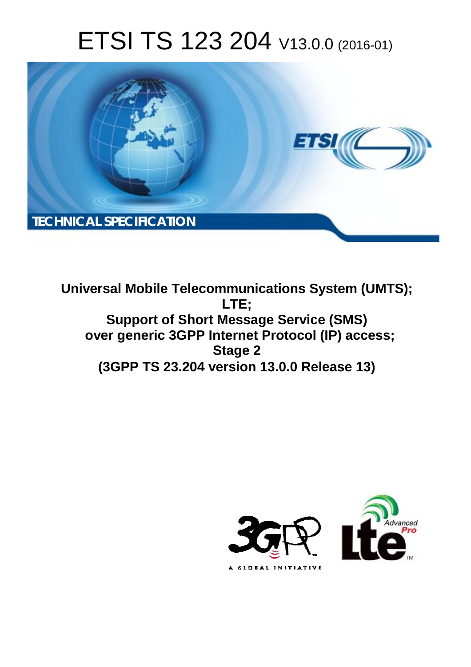# ETSI TS 123 204 V13.0.0 (2016-01)



**Universal Mobile Tel elecommunications System ( (UMTS); Support of Sh Short Message Service (SMS) Support of Short Message Service (SMS)**<br>Thernet Protocol (IP) access; **(3GPP TS 23.2 .204 version 13.0.0 Release 13 13) LTE; Stage 2** 

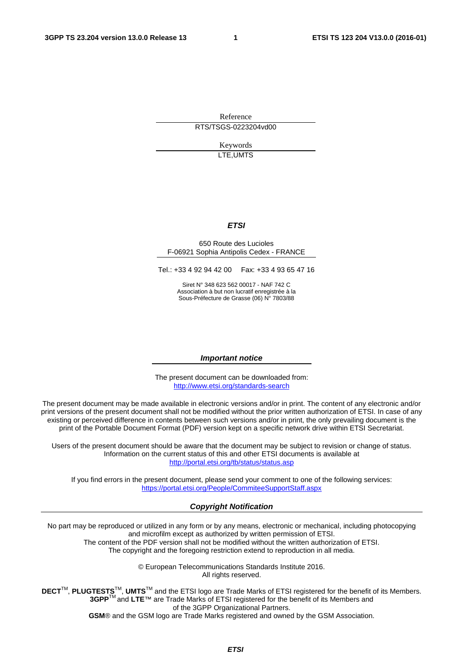Reference RTS/TSGS-0223204vd00

> Keywords LTE,UMTS

#### *ETSI*

#### 650 Route des Lucioles F-06921 Sophia Antipolis Cedex - FRANCE

Tel.: +33 4 92 94 42 00 Fax: +33 4 93 65 47 16

Siret N° 348 623 562 00017 - NAF 742 C Association à but non lucratif enregistrée à la Sous-Préfecture de Grasse (06) N° 7803/88

#### *Important notice*

The present document can be downloaded from: <http://www.etsi.org/standards-search>

The present document may be made available in electronic versions and/or in print. The content of any electronic and/or print versions of the present document shall not be modified without the prior written authorization of ETSI. In case of any existing or perceived difference in contents between such versions and/or in print, the only prevailing document is the print of the Portable Document Format (PDF) version kept on a specific network drive within ETSI Secretariat.

Users of the present document should be aware that the document may be subject to revision or change of status. Information on the current status of this and other ETSI documents is available at <http://portal.etsi.org/tb/status/status.asp>

If you find errors in the present document, please send your comment to one of the following services: <https://portal.etsi.org/People/CommiteeSupportStaff.aspx>

#### *Copyright Notification*

No part may be reproduced or utilized in any form or by any means, electronic or mechanical, including photocopying and microfilm except as authorized by written permission of ETSI.

The content of the PDF version shall not be modified without the written authorization of ETSI. The copyright and the foregoing restriction extend to reproduction in all media.

> © European Telecommunications Standards Institute 2016. All rights reserved.

**DECT**TM, **PLUGTESTS**TM, **UMTS**TM and the ETSI logo are Trade Marks of ETSI registered for the benefit of its Members. **3GPP**TM and **LTE**™ are Trade Marks of ETSI registered for the benefit of its Members and of the 3GPP Organizational Partners.

**GSM**® and the GSM logo are Trade Marks registered and owned by the GSM Association.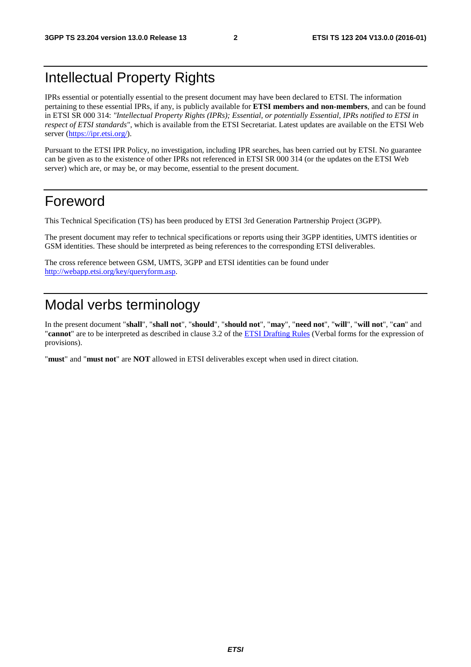## Intellectual Property Rights

IPRs essential or potentially essential to the present document may have been declared to ETSI. The information pertaining to these essential IPRs, if any, is publicly available for **ETSI members and non-members**, and can be found in ETSI SR 000 314: *"Intellectual Property Rights (IPRs); Essential, or potentially Essential, IPRs notified to ETSI in respect of ETSI standards"*, which is available from the ETSI Secretariat. Latest updates are available on the ETSI Web server [\(https://ipr.etsi.org/](https://ipr.etsi.org/)).

Pursuant to the ETSI IPR Policy, no investigation, including IPR searches, has been carried out by ETSI. No guarantee can be given as to the existence of other IPRs not referenced in ETSI SR 000 314 (or the updates on the ETSI Web server) which are, or may be, or may become, essential to the present document.

## Foreword

This Technical Specification (TS) has been produced by ETSI 3rd Generation Partnership Project (3GPP).

The present document may refer to technical specifications or reports using their 3GPP identities, UMTS identities or GSM identities. These should be interpreted as being references to the corresponding ETSI deliverables.

The cross reference between GSM, UMTS, 3GPP and ETSI identities can be found under [http://webapp.etsi.org/key/queryform.asp.](http://webapp.etsi.org/key/queryform.asp)

## Modal verbs terminology

In the present document "**shall**", "**shall not**", "**should**", "**should not**", "**may**", "**need not**", "**will**", "**will not**", "**can**" and "**cannot**" are to be interpreted as described in clause 3.2 of the [ETSI Drafting Rules](http://portal.etsi.org/Help/editHelp!/Howtostart/ETSIDraftingRules.aspx) (Verbal forms for the expression of provisions).

"**must**" and "**must not**" are **NOT** allowed in ETSI deliverables except when used in direct citation.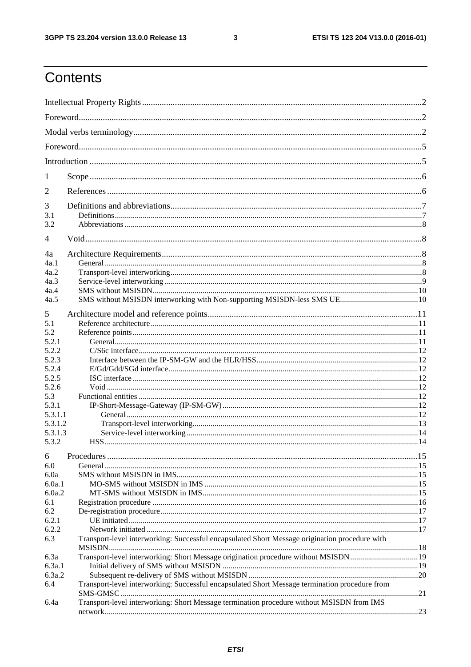$\mathbf{3}$ 

## Contents

| 1                                                   |                                                                                                |  |  |  |  |
|-----------------------------------------------------|------------------------------------------------------------------------------------------------|--|--|--|--|
| 2                                                   |                                                                                                |  |  |  |  |
| 3<br>3.1<br>3.2                                     |                                                                                                |  |  |  |  |
| 4                                                   |                                                                                                |  |  |  |  |
| 4a<br>4a.1                                          |                                                                                                |  |  |  |  |
| 4a.2<br>4a.3                                        |                                                                                                |  |  |  |  |
| 4a.4                                                |                                                                                                |  |  |  |  |
| 4a.5                                                |                                                                                                |  |  |  |  |
| 5<br>5.1<br>5.2<br>5.2.1<br>5.2.2<br>5.2.3<br>5.2.4 |                                                                                                |  |  |  |  |
| 5.2.5                                               |                                                                                                |  |  |  |  |
| 5.2.6                                               |                                                                                                |  |  |  |  |
| 5.3<br>5.3.1                                        |                                                                                                |  |  |  |  |
| 5.3.1.1                                             |                                                                                                |  |  |  |  |
| 5.3.1.2                                             |                                                                                                |  |  |  |  |
| 5.3.1.3                                             |                                                                                                |  |  |  |  |
| 5.3.2<br>6                                          |                                                                                                |  |  |  |  |
| 6.0                                                 |                                                                                                |  |  |  |  |
| 6.0a                                                |                                                                                                |  |  |  |  |
| 6.0a.1                                              |                                                                                                |  |  |  |  |
| 6.0a.2                                              |                                                                                                |  |  |  |  |
| 6.1                                                 |                                                                                                |  |  |  |  |
| 6.2                                                 |                                                                                                |  |  |  |  |
| 6.2.1<br>6.2.2                                      |                                                                                                |  |  |  |  |
| 6.3                                                 | Transport-level interworking: Successful encapsulated Short Message origination procedure with |  |  |  |  |
| 6.3a                                                | Transport-level interworking: Short Message origination procedure without MSISDN19             |  |  |  |  |
| 6.3a.1                                              |                                                                                                |  |  |  |  |
| 6.3a.2                                              |                                                                                                |  |  |  |  |
| 6.4                                                 | Transport-level interworking: Successful encapsulated Short Message termination procedure from |  |  |  |  |
| 6.4a                                                | Transport-level interworking: Short Message termination procedure without MSISDN from IMS      |  |  |  |  |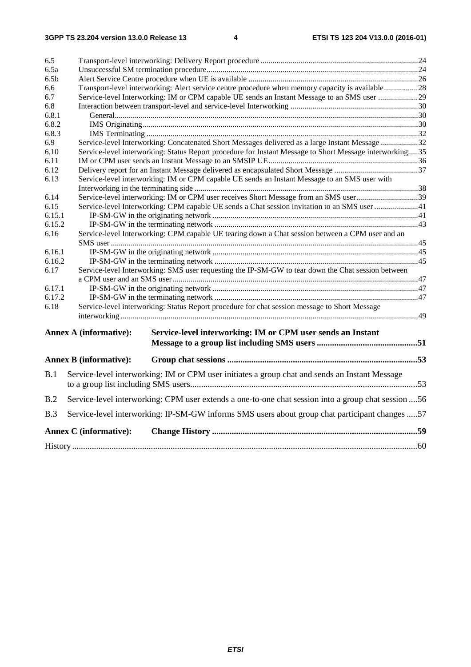| 6.5              |                                                                                                     |                                                                                                         |  |  |  |  |  |
|------------------|-----------------------------------------------------------------------------------------------------|---------------------------------------------------------------------------------------------------------|--|--|--|--|--|
| 6.5a             |                                                                                                     |                                                                                                         |  |  |  |  |  |
| 6.5 <sub>b</sub> |                                                                                                     |                                                                                                         |  |  |  |  |  |
| 6.6              |                                                                                                     | Transport-level interworking: Alert service centre procedure when memory capacity is available28        |  |  |  |  |  |
| 6.7              |                                                                                                     | Service-level Interworking: IM or CPM capable UE sends an Instant Message to an SMS user 29             |  |  |  |  |  |
| 6.8              |                                                                                                     |                                                                                                         |  |  |  |  |  |
| 6.8.1            |                                                                                                     |                                                                                                         |  |  |  |  |  |
| 6.8.2            |                                                                                                     |                                                                                                         |  |  |  |  |  |
| 6.8.3            |                                                                                                     |                                                                                                         |  |  |  |  |  |
| 6.9              |                                                                                                     | Service-level Interworking: Concatenated Short Messages delivered as a large Instant Message32          |  |  |  |  |  |
| 6.10             |                                                                                                     | Service-level interworking: Status Report procedure for Instant Message to Short Message interworking35 |  |  |  |  |  |
| 6.11             |                                                                                                     |                                                                                                         |  |  |  |  |  |
| 6.12             |                                                                                                     |                                                                                                         |  |  |  |  |  |
| 6.13             |                                                                                                     | Service-level interworking: IM or CPM capable UE sends an Instant Message to an SMS user with           |  |  |  |  |  |
|                  |                                                                                                     |                                                                                                         |  |  |  |  |  |
| 6.14             |                                                                                                     | Service-level interworking: IM or CPM user receives Short Message from an SMS user39                    |  |  |  |  |  |
| 6.15             |                                                                                                     | Service-level Interworking: CPM capable UE sends a Chat session invitation to an SMS user 41            |  |  |  |  |  |
| 6.15.1           |                                                                                                     |                                                                                                         |  |  |  |  |  |
| 6.15.2           |                                                                                                     |                                                                                                         |  |  |  |  |  |
| 6.16             |                                                                                                     | Service-level Interworking: CPM capable UE tearing down a Chat session between a CPM user and an        |  |  |  |  |  |
|                  |                                                                                                     |                                                                                                         |  |  |  |  |  |
| 6.16.1           |                                                                                                     |                                                                                                         |  |  |  |  |  |
| 6.16.2           |                                                                                                     |                                                                                                         |  |  |  |  |  |
| 6.17             |                                                                                                     | Service-level Interworking: SMS user requesting the IP-SM-GW to tear down the Chat session between      |  |  |  |  |  |
|                  |                                                                                                     |                                                                                                         |  |  |  |  |  |
| 6.17.1           |                                                                                                     |                                                                                                         |  |  |  |  |  |
| 6.17.2           |                                                                                                     |                                                                                                         |  |  |  |  |  |
| 6.18             |                                                                                                     | Service-level interworking: Status Report procedure for chat session message to Short Message           |  |  |  |  |  |
|                  |                                                                                                     |                                                                                                         |  |  |  |  |  |
|                  |                                                                                                     |                                                                                                         |  |  |  |  |  |
|                  | <b>Annex A (informative):</b>                                                                       | Service-level interworking: IM or CPM user sends an Instant                                             |  |  |  |  |  |
|                  |                                                                                                     |                                                                                                         |  |  |  |  |  |
|                  | <b>Annex B</b> (informative):                                                                       |                                                                                                         |  |  |  |  |  |
| B.1              |                                                                                                     | Service-level interworking: IM or CPM user initiates a group chat and sends an Instant Message          |  |  |  |  |  |
|                  |                                                                                                     |                                                                                                         |  |  |  |  |  |
| B.2              | Service-level interworking: CPM user extends a one-to-one chat session into a group chat session 56 |                                                                                                         |  |  |  |  |  |
| <b>B.3</b>       |                                                                                                     | Service-level interworking: IP-SM-GW informs SMS users about group chat participant changes 57          |  |  |  |  |  |
|                  | <b>Annex C</b> (informative):                                                                       |                                                                                                         |  |  |  |  |  |
|                  |                                                                                                     |                                                                                                         |  |  |  |  |  |
|                  |                                                                                                     |                                                                                                         |  |  |  |  |  |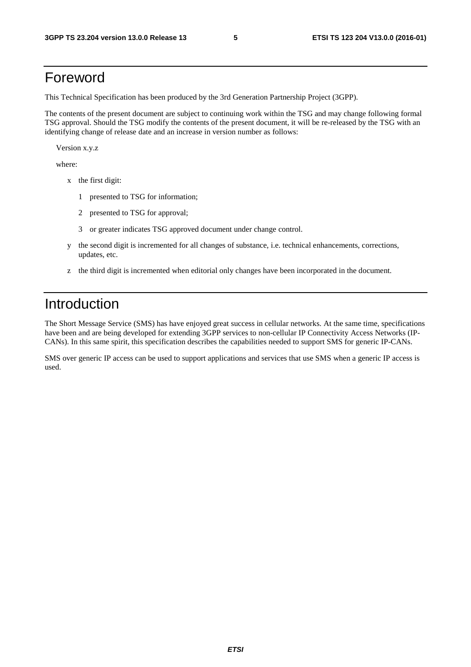## Foreword

This Technical Specification has been produced by the 3rd Generation Partnership Project (3GPP).

The contents of the present document are subject to continuing work within the TSG and may change following formal TSG approval. Should the TSG modify the contents of the present document, it will be re-released by the TSG with an identifying change of release date and an increase in version number as follows:

Version x.y.z

where:

- x the first digit:
	- 1 presented to TSG for information;
	- 2 presented to TSG for approval;
	- 3 or greater indicates TSG approved document under change control.
- y the second digit is incremented for all changes of substance, i.e. technical enhancements, corrections, updates, etc.
- z the third digit is incremented when editorial only changes have been incorporated in the document.

## Introduction

The Short Message Service (SMS) has have enjoyed great success in cellular networks. At the same time, specifications have been and are being developed for extending 3GPP services to non-cellular IP Connectivity Access Networks (IP-CANs). In this same spirit, this specification describes the capabilities needed to support SMS for generic IP-CANs.

SMS over generic IP access can be used to support applications and services that use SMS when a generic IP access is used.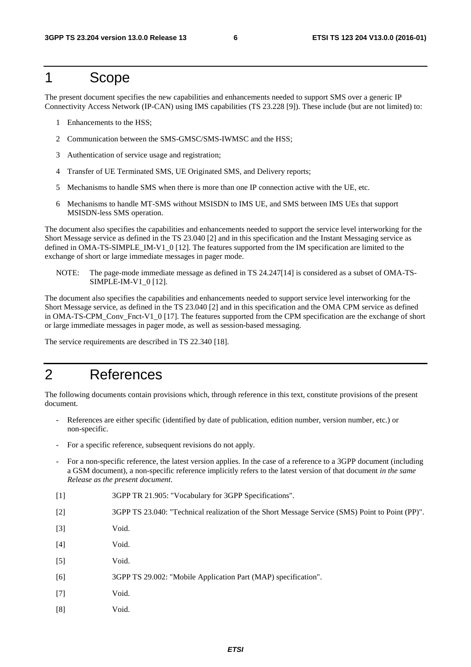### 1 Scope

The present document specifies the new capabilities and enhancements needed to support SMS over a generic IP Connectivity Access Network (IP-CAN) using IMS capabilities (TS 23.228 [9]). These include (but are not limited) to:

- 1 Enhancements to the HSS;
- 2 Communication between the SMS-GMSC/SMS-IWMSC and the HSS;
- 3 Authentication of service usage and registration;
- 4 Transfer of UE Terminated SMS, UE Originated SMS, and Delivery reports;
- 5 Mechanisms to handle SMS when there is more than one IP connection active with the UE, etc.
- 6 Mechanisms to handle MT-SMS without MSISDN to IMS UE, and SMS between IMS UEs that support MSISDN-less SMS operation.

The document also specifies the capabilities and enhancements needed to support the service level interworking for the Short Message service as defined in the TS 23.040 [2] and in this specification and the Instant Messaging service as defined in OMA-TS-SIMPLE\_IM-V1\_0 [12]. The features supported from the IM specification are limited to the exchange of short or large immediate messages in pager mode.

NOTE: The page-mode immediate message as defined in TS 24.247[14] is considered as a subset of OMA-TS-SIMPLE-IM-V1\_0 [12].

The document also specifies the capabilities and enhancements needed to support service level interworking for the Short Message service, as defined in the TS 23.040 [2] and in this specification and the OMA CPM service as defined in OMA-TS-CPM\_Conv\_Fnct-V1\_0 [17]. The features supported from the CPM specification are the exchange of short or large immediate messages in pager mode, as well as session-based messaging.

The service requirements are described in TS 22.340 [18].

### 2 References

The following documents contain provisions which, through reference in this text, constitute provisions of the present document.

- References are either specific (identified by date of publication, edition number, version number, etc.) or non-specific.
- For a specific reference, subsequent revisions do not apply.
- For a non-specific reference, the latest version applies. In the case of a reference to a 3GPP document (including a GSM document), a non-specific reference implicitly refers to the latest version of that document *in the same Release as the present document*.
- [1] 3GPP TR 21.905: "Vocabulary for 3GPP Specifications".
- [2] 3GPP TS 23.040: "Technical realization of the Short Message Service (SMS) Point to Point (PP)".
- [3] Void.
- [4] Void.
- [5] Void.
- [6] 3GPP TS 29.002: "Mobile Application Part (MAP) specification".
- [7] Void.
- [8] Void.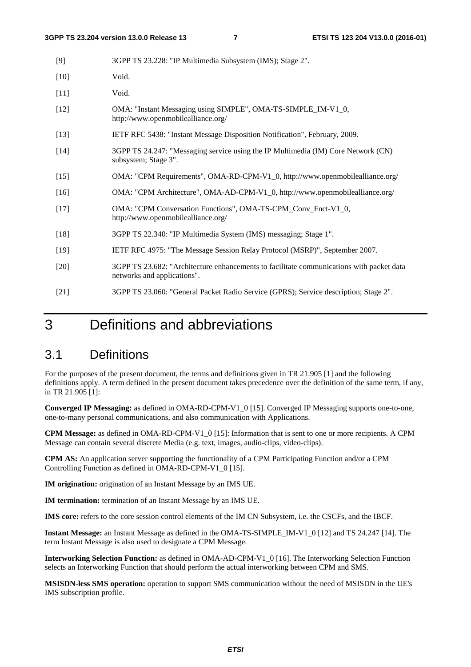| $[9]$  | 3GPP TS 23.228: "IP Multimedia Subsystem (IMS); Stage 2".                                                               |
|--------|-------------------------------------------------------------------------------------------------------------------------|
| $[10]$ | Void.                                                                                                                   |
| $[11]$ | Void.                                                                                                                   |
| $[12]$ | OMA: "Instant Messaging using SIMPLE", OMA-TS-SIMPLE_IM-V1_0,<br>http://www.openmobilealliance.org/                     |
| $[13]$ | IETF RFC 5438: "Instant Message Disposition Notification", February, 2009.                                              |
| $[14]$ | 3GPP TS 24.247: "Messaging service using the IP Multimedia (IM) Core Network (CN)<br>subsystem; Stage 3".               |
| $[15]$ | OMA: "CPM Requirements", OMA-RD-CPM-V1_0, http://www.openmobilealliance.org/                                            |
| $[16]$ | OMA: "CPM Architecture", OMA-AD-CPM-V1_0, http://www.openmobilealliance.org/                                            |
| $[17]$ | OMA: "CPM Conversation Functions", OMA-TS-CPM_Conv_Fnct-V1_0,<br>http://www.openmobilealliance.org/                     |
| $[18]$ | 3GPP TS 22.340: "IP Multimedia System (IMS) messaging; Stage 1".                                                        |
| $[19]$ | IETF RFC 4975: "The Message Session Relay Protocol (MSRP)", September 2007.                                             |
| $[20]$ | 3GPP TS 23.682: "Architecture enhancements to facilitate communications with packet data<br>networks and applications". |
| $[21]$ | 3GPP TS 23.060: "General Packet Radio Service (GPRS); Service description; Stage 2".                                    |

## 3 Definitions and abbreviations

### 3.1 Definitions

For the purposes of the present document, the terms and definitions given in TR 21.905 [1] and the following definitions apply. A term defined in the present document takes precedence over the definition of the same term, if any, in TR 21.905 [1]:

**Converged IP Messaging:** as defined in OMA-RD-CPM-V1\_0 [15]. Converged IP Messaging supports one-to-one, one-to-many personal communications, and also communication with Applications.

**CPM Message:** as defined in OMA-RD-CPM-V1\_0 [15]: Information that is sent to one or more recipients. A CPM Message can contain several discrete Media (e.g. text, images, audio-clips, video-clips).

**CPM AS:** An application server supporting the functionality of a CPM Participating Function and/or a CPM Controlling Function as defined in OMA-RD-CPM-V1\_0 [15].

**IM origination:** origination of an Instant Message by an IMS UE.

**IM termination:** termination of an Instant Message by an IMS UE.

**IMS core:** refers to the core session control elements of the IM CN Subsystem, i.e. the CSCFs, and the IBCF.

**Instant Message:** an Instant Message as defined in the OMA-TS-SIMPLE\_IM-V1\_0 [12] and TS 24.247 [14]. The term Instant Message is also used to designate a CPM Message.

**Interworking Selection Function:** as defined in OMA-AD-CPM-V1\_0 [16]. The Interworking Selection Function selects an Interworking Function that should perform the actual interworking between CPM and SMS.

**MSISDN-less SMS operation:** operation to support SMS communication without the need of MSISDN in the UE's IMS subscription profile.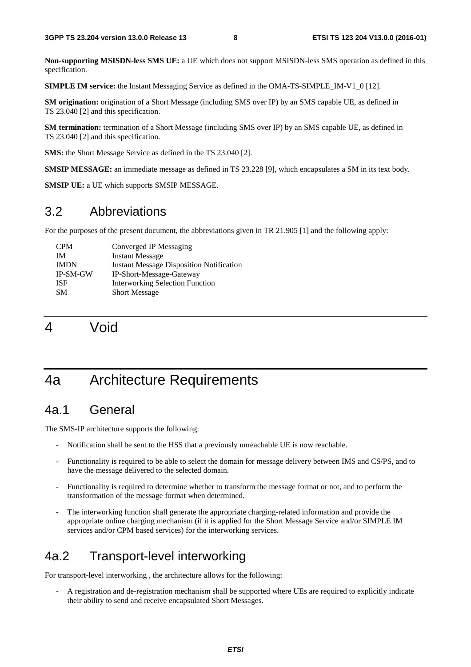**Non-supporting MSISDN-less SMS UE:** a UE which does not support MSISDN-less SMS operation as defined in this specification.

**SIMPLE IM service:** the Instant Messaging Service as defined in the OMA-TS-SIMPLE\_IM-V1\_0 [12].

**SM origination:** origination of a Short Message (including SMS over IP) by an SMS capable UE, as defined in TS 23.040 [2] and this specification.

**SM termination:** termination of a Short Message (including SMS over IP) by an SMS capable UE, as defined in TS 23.040 [2] and this specification.

**SMS:** the Short Message Service as defined in the TS 23.040 [2].

**SMSIP MESSAGE:** an immediate message as defined in TS 23.228 [9], which encapsulates a SM in its text body.

**SMSIP UE:** a UE which supports SMSIP MESSAGE.

### 3.2 Abbreviations

For the purposes of the present document, the abbreviations given in TR 21.905 [1] and the following apply:

| <b>CPM</b>  | Converged IP Messaging                          |
|-------------|-------------------------------------------------|
| ΙM          | <b>Instant Message</b>                          |
| <b>IMDN</b> | <b>Instant Message Disposition Notification</b> |
| IP-SM-GW    | IP-Short-Message-Gateway                        |
| <b>ISF</b>  | <b>Interworking Selection Function</b>          |
| <b>SM</b>   | <b>Short Message</b>                            |

4 Void

## 4a Architecture Requirements

### 4a.1 General

The SMS-IP architecture supports the following:

- Notification shall be sent to the HSS that a previously unreachable UE is now reachable.
- Functionality is required to be able to select the domain for message delivery between IMS and CS/PS, and to have the message delivered to the selected domain.
- Functionality is required to determine whether to transform the message format or not, and to perform the transformation of the message format when determined.
- The interworking function shall generate the appropriate charging-related information and provide the appropriate online charging mechanism (if it is applied for the Short Message Service and/or SIMPLE IM services and/or CPM based services) for the interworking services.

### 4a.2 Transport-level interworking

For transport-level interworking , the architecture allows for the following:

- A registration and de-registration mechanism shall be supported where UEs are required to explicitly indicate their ability to send and receive encapsulated Short Messages.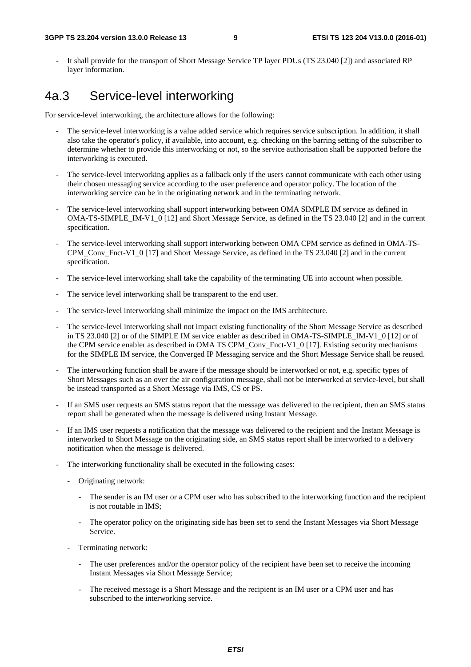It shall provide for the transport of Short Message Service TP layer PDUs (TS 23.040 [2]) and associated RP layer information.

### 4a.3 Service-level interworking

For service-level interworking, the architecture allows for the following:

- The service-level interworking is a value added service which requires service subscription. In addition, it shall also take the operator's policy, if available, into account, e.g. checking on the barring setting of the subscriber to determine whether to provide this interworking or not, so the service authorisation shall be supported before the interworking is executed.
- The service-level interworking applies as a fallback only if the users cannot communicate with each other using their chosen messaging service according to the user preference and operator policy. The location of the interworking service can be in the originating network and in the terminating network.
- The service-level interworking shall support interworking between OMA SIMPLE IM service as defined in OMA-TS-SIMPLE\_IM-V1\_0 [12] and Short Message Service, as defined in the TS 23.040 [2] and in the current specification.
- The service-level interworking shall support interworking between OMA CPM service as defined in OMA-TS-CPM\_Conv\_Fnct-V1\_0 [17] and Short Message Service, as defined in the TS 23.040 [2] and in the current specification.
- The service-level interworking shall take the capability of the terminating UE into account when possible.
- The service level interworking shall be transparent to the end user.
- The service-level interworking shall minimize the impact on the IMS architecture.
- The service-level interworking shall not impact existing functionality of the Short Message Service as described in TS 23.040 [2] or of the SIMPLE IM service enabler as described in OMA-TS-SIMPLE IM-V1 0 [12] or of the CPM service enabler as described in OMA TS CPM Conv Fnct-V1 0 [17]. Existing security mechanisms for the SIMPLE IM service, the Converged IP Messaging service and the Short Message Service shall be reused.
- The interworking function shall be aware if the message should be interworked or not, e.g. specific types of Short Messages such as an over the air configuration message, shall not be interworked at service-level, but shall be instead transported as a Short Message via IMS, CS or PS.
- If an SMS user requests an SMS status report that the message was delivered to the recipient, then an SMS status report shall be generated when the message is delivered using Instant Message.
- If an IMS user requests a notification that the message was delivered to the recipient and the Instant Message is interworked to Short Message on the originating side, an SMS status report shall be interworked to a delivery notification when the message is delivered.
- The interworking functionality shall be executed in the following cases:
	- Originating network:
		- The sender is an IM user or a CPM user who has subscribed to the interworking function and the recipient is not routable in IMS;
		- The operator policy on the originating side has been set to send the Instant Messages via Short Message Service.
	- Terminating network:
		- The user preferences and/or the operator policy of the recipient have been set to receive the incoming Instant Messages via Short Message Service;
		- The received message is a Short Message and the recipient is an IM user or a CPM user and has subscribed to the interworking service.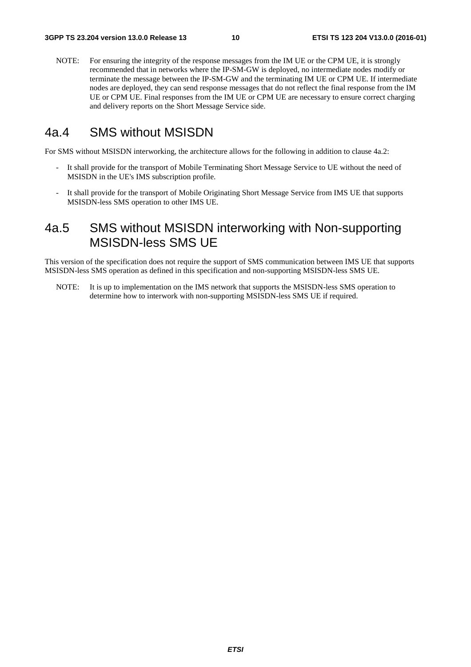NOTE: For ensuring the integrity of the response messages from the IM UE or the CPM UE, it is strongly recommended that in networks where the IP-SM-GW is deployed, no intermediate nodes modify or terminate the message between the IP-SM-GW and the terminating IM UE or CPM UE. If intermediate nodes are deployed, they can send response messages that do not reflect the final response from the IM UE or CPM UE. Final responses from the IM UE or CPM UE are necessary to ensure correct charging and delivery reports on the Short Message Service side.

### 4a.4 SMS without MSISDN

For SMS without MSISDN interworking, the architecture allows for the following in addition to clause 4a.2:

- It shall provide for the transport of Mobile Terminating Short Message Service to UE without the need of MSISDN in the UE's IMS subscription profile.
- It shall provide for the transport of Mobile Originating Short Message Service from IMS UE that supports MSISDN-less SMS operation to other IMS UE.

## 4a.5 SMS without MSISDN interworking with Non-supporting MSISDN-less SMS UE

This version of the specification does not require the support of SMS communication between IMS UE that supports MSISDN-less SMS operation as defined in this specification and non-supporting MSISDN-less SMS UE.

NOTE: It is up to implementation on the IMS network that supports the MSISDN-less SMS operation to determine how to interwork with non-supporting MSISDN-less SMS UE if required.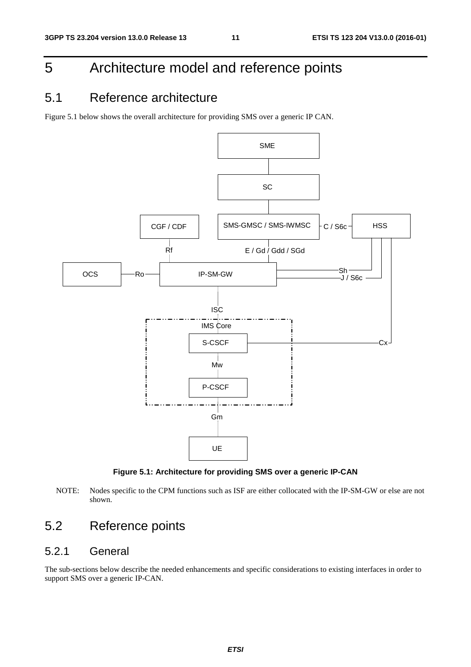## 5 Architecture model and reference points

### 5.1 Reference architecture

Figure 5.1 below shows the overall architecture for providing SMS over a generic IP CAN.



**Figure 5.1: Architecture for providing SMS over a generic IP-CAN** 

NOTE: Nodes specific to the CPM functions such as ISF are either collocated with the IP-SM-GW or else are not shown.

## 5.2 Reference points

#### 5.2.1 General

The sub-sections below describe the needed enhancements and specific considerations to existing interfaces in order to support SMS over a generic IP-CAN.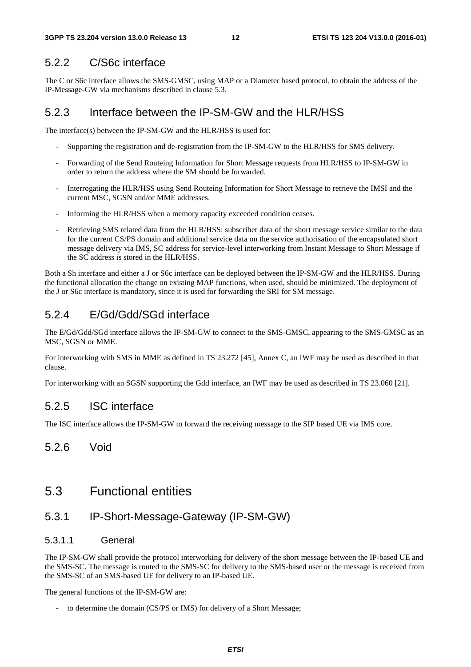#### 5.2.2 C/S6c interface

The C or S6c interface allows the SMS-GMSC, using MAP or a Diameter based protocol, to obtain the address of the IP-Message-GW via mechanisms described in clause 5.3.

#### 5.2.3 Interface between the IP-SM-GW and the HLR/HSS

The interface(s) between the IP-SM-GW and the HLR/HSS is used for:

- Supporting the registration and de-registration from the IP-SM-GW to the HLR/HSS for SMS delivery.
- Forwarding of the Send Routeing Information for Short Message requests from HLR/HSS to IP-SM-GW in order to return the address where the SM should be forwarded.
- Interrogating the HLR/HSS using Send Routeing Information for Short Message to retrieve the IMSI and the current MSC, SGSN and/or MME addresses.
- Informing the HLR/HSS when a memory capacity exceeded condition ceases.
- Retrieving SMS related data from the HLR/HSS: subscriber data of the short message service similar to the data for the current CS/PS domain and additional service data on the service authorisation of the encapsulated short message delivery via IMS, SC address for service-level interworking from Instant Message to Short Message if the SC address is stored in the HLR/HSS.

Both a Sh interface and either a J or S6c interface can be deployed between the IP-SM-GW and the HLR/HSS. During the functional allocation the change on existing MAP functions, when used, should be minimized. The deployment of the J or S6c interface is mandatory, since it is used for forwarding the SRI for SM message.

### 5.2.4 E/Gd/Gdd/SGd interface

The E/Gd/Gdd/SGd interface allows the IP-SM-GW to connect to the SMS-GMSC, appearing to the SMS-GMSC as an MSC, SGSN or MME.

For interworking with SMS in MME as defined in TS 23.272 [45], Annex C, an IWF may be used as described in that clause.

For interworking with an SGSN supporting the Gdd interface, an IWF may be used as described in TS 23.060 [21].

#### 5.2.5 ISC interface

The ISC interface allows the IP-SM-GW to forward the receiving message to the SIP based UE via IMS core.

#### 5.2.6 Void

### 5.3 Functional entities

### 5.3.1 IP-Short-Message-Gateway (IP-SM-GW)

#### 5.3.1.1 General

The IP-SM-GW shall provide the protocol interworking for delivery of the short message between the IP-based UE and the SMS-SC. The message is routed to the SMS-SC for delivery to the SMS-based user or the message is received from the SMS-SC of an SMS-based UE for delivery to an IP-based UE.

The general functions of the IP-SM-GW are:

- to determine the domain (CS/PS or IMS) for delivery of a Short Message;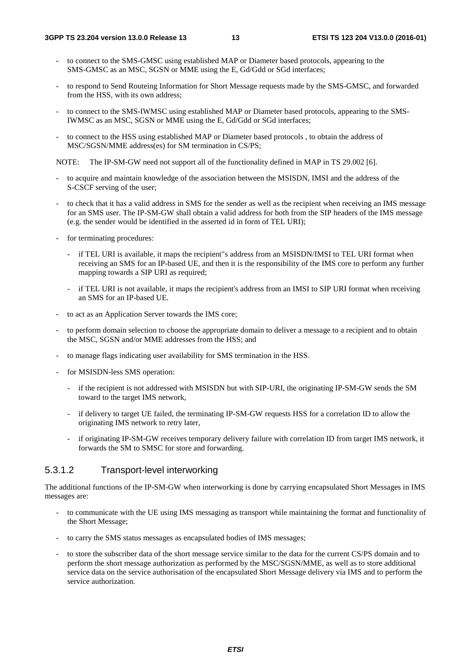- to connect to the SMS-GMSC using established MAP or Diameter based protocols, appearing to the SMS-GMSC as an MSC, SGSN or MME using the E, Gd/Gdd or SGd interfaces;
- to respond to Send Routeing Information for Short Message requests made by the SMS-GMSC, and forwarded from the HSS, with its own address;
- to connect to the SMS-IWMSC using established MAP or Diameter based protocols, appearing to the SMS-IWMSC as an MSC, SGSN or MME using the E, Gd/Gdd or SGd interfaces;
- to connect to the HSS using established MAP or Diameter based protocols, to obtain the address of MSC/SGSN/MME address(es) for SM termination in CS/PS;

NOTE: The IP-SM-GW need not support all of the functionality defined in MAP in TS 29.002 [6].

- to acquire and maintain knowledge of the association between the MSISDN, IMSI and the address of the S-CSCF serving of the user;
- to check that it has a valid address in SMS for the sender as well as the recipient when receiving an IMS message for an SMS user. The IP-SM-GW shall obtain a valid address for both from the SIP headers of the IMS message (e.g. the sender would be identified in the asserted id in form of TEL URI);
- for terminating procedures:
	- if TEL URI is available, it maps the recipient"s address from an MSISDN/IMSI to TEL URI format when receiving an SMS for an IP-based UE, and then it is the responsibility of the IMS core to perform any further mapping towards a SIP URI as required;
	- if TEL URI is not available, it maps the recipient's address from an IMSI to SIP URI format when receiving an SMS for an IP-based UE.
- to act as an Application Server towards the IMS core;
- to perform domain selection to choose the appropriate domain to deliver a message to a recipient and to obtain the MSC, SGSN and/or MME addresses from the HSS; and
- to manage flags indicating user availability for SMS termination in the HSS.
- for MSISDN-less SMS operation:
	- if the recipient is not addressed with MSISDN but with SIP-URI, the originating IP-SM-GW sends the SM toward to the target IMS network,
	- if delivery to target UE failed, the terminating IP-SM-GW requests HSS for a correlation ID to allow the originating IMS network to retry later,
	- if originating IP-SM-GW receives temporary delivery failure with correlation ID from target IMS network, it forwards the SM to SMSC for store and forwarding.

#### 5.3.1.2 Transport-level interworking

The additional functions of the IP-SM-GW when interworking is done by carrying encapsulated Short Messages in IMS messages are:

- to communicate with the UE using IMS messaging as transport while maintaining the format and functionality of the Short Message;
- to carry the SMS status messages as encapsulated bodies of IMS messages;
- to store the subscriber data of the short message service similar to the data for the current CS/PS domain and to perform the short message authorization as performed by the MSC/SGSN/MME, as well as to store additional service data on the service authorisation of the encapsulated Short Message delivery via IMS and to perform the service authorization.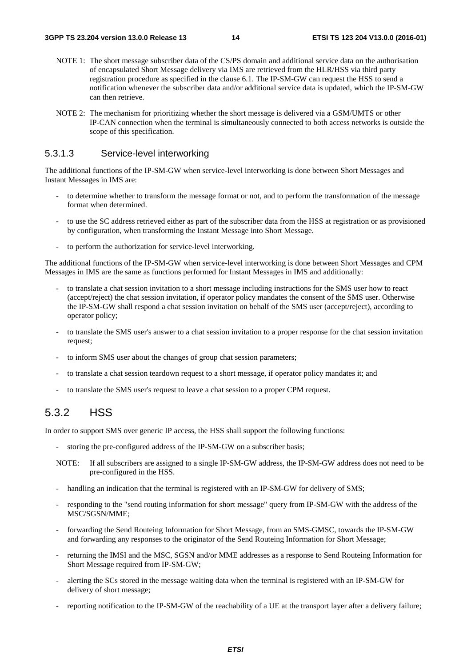- NOTE 1: The short message subscriber data of the CS/PS domain and additional service data on the authorisation of encapsulated Short Message delivery via IMS are retrieved from the HLR/HSS via third party registration procedure as specified in the clause 6.1. The IP-SM-GW can request the HSS to send a notification whenever the subscriber data and/or additional service data is updated, which the IP-SM-GW can then retrieve.
- NOTE 2: The mechanism for prioritizing whether the short message is delivered via a GSM/UMTS or other IP-CAN connection when the terminal is simultaneously connected to both access networks is outside the scope of this specification.

#### 5.3.1.3 Service-level interworking

The additional functions of the IP-SM-GW when service-level interworking is done between Short Messages and Instant Messages in IMS are:

- to determine whether to transform the message format or not, and to perform the transformation of the message format when determined.
- to use the SC address retrieved either as part of the subscriber data from the HSS at registration or as provisioned by configuration, when transforming the Instant Message into Short Message.
- to perform the authorization for service-level interworking.

The additional functions of the IP-SM-GW when service-level interworking is done between Short Messages and CPM Messages in IMS are the same as functions performed for Instant Messages in IMS and additionally:

- to translate a chat session invitation to a short message including instructions for the SMS user how to react (accept/reject) the chat session invitation, if operator policy mandates the consent of the SMS user. Otherwise the IP-SM-GW shall respond a chat session invitation on behalf of the SMS user (accept/reject), according to operator policy;
- to translate the SMS user's answer to a chat session invitation to a proper response for the chat session invitation request;
- to inform SMS user about the changes of group chat session parameters;
- to translate a chat session teardown request to a short message, if operator policy mandates it; and
- to translate the SMS user's request to leave a chat session to a proper CPM request.

### 5.3.2 HSS

In order to support SMS over generic IP access, the HSS shall support the following functions:

- storing the pre-configured address of the IP-SM-GW on a subscriber basis;
- NOTE: If all subscribers are assigned to a single IP-SM-GW address, the IP-SM-GW address does not need to be pre-configured in the HSS.
- handling an indication that the terminal is registered with an IP-SM-GW for delivery of SMS;
- responding to the "send routing information for short message" query from IP-SM-GW with the address of the MSC/SGSN/MME;
- forwarding the Send Routeing Information for Short Message, from an SMS-GMSC, towards the IP-SM-GW and forwarding any responses to the originator of the Send Routeing Information for Short Message;
- returning the IMSI and the MSC, SGSN and/or MME addresses as a response to Send Routeing Information for Short Message required from IP-SM-GW;
- alerting the SCs stored in the message waiting data when the terminal is registered with an IP-SM-GW for delivery of short message;
- reporting notification to the IP-SM-GW of the reachability of a UE at the transport layer after a delivery failure;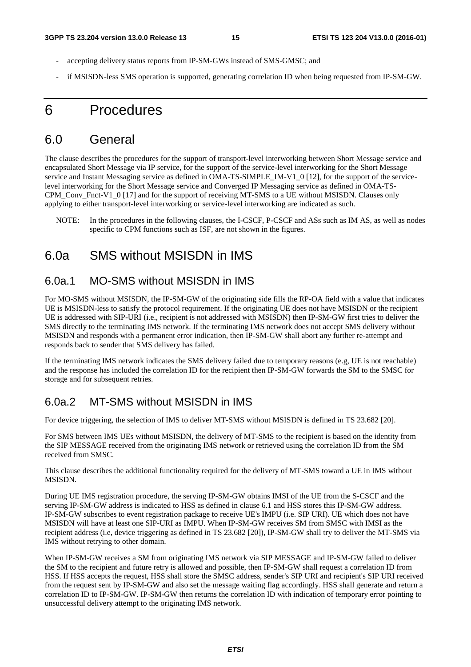- accepting delivery status reports from IP-SM-GWs instead of SMS-GMSC; and
- if MSISDN-less SMS operation is supported, generating correlation ID when being requested from IP-SM-GW.

## 6 Procedures

### 6.0 General

The clause describes the procedures for the support of transport-level interworking between Short Message service and encapsulated Short Message via IP service, for the support of the service-level interworking for the Short Message service and Instant Messaging service as defined in OMA-TS-SIMPLE\_IM-V1\_0 [12], for the support of the servicelevel interworking for the Short Message service and Converged IP Messaging service as defined in OMA-TS-CPM\_Conv\_Fnct-V1\_0 [17] and for the support of receiving MT-SMS to a UE without MSISDN. Clauses only applying to either transport-level interworking or service-level interworking are indicated as such.

NOTE: In the procedures in the following clauses, the I-CSCF, P-CSCF and ASs such as IM AS, as well as nodes specific to CPM functions such as ISF, are not shown in the figures.

### 6.0a SMS without MSISDN in IMS

#### 6.0a.1 MO-SMS without MSISDN in IMS

For MO-SMS without MSISDN, the IP-SM-GW of the originating side fills the RP-OA field with a value that indicates UE is MSISDN-less to satisfy the protocol requirement. If the originating UE does not have MSISDN or the recipient UE is addressed with SIP-URI (i.e., recipient is not addressed with MSISDN) then IP-SM-GW first tries to deliver the SMS directly to the terminating IMS network. If the terminating IMS network does not accept SMS delivery without MSISDN and responds with a permanent error indication, then IP-SM-GW shall abort any further re-attempt and responds back to sender that SMS delivery has failed.

If the terminating IMS network indicates the SMS delivery failed due to temporary reasons (e.g, UE is not reachable) and the response has included the correlation ID for the recipient then IP-SM-GW forwards the SM to the SMSC for storage and for subsequent retries.

### 6.0a.2 MT-SMS without MSISDN in IMS

For device triggering, the selection of IMS to deliver MT-SMS without MSISDN is defined in TS 23.682 [20].

For SMS between IMS UEs without MSISDN, the delivery of MT-SMS to the recipient is based on the identity from the SIP MESSAGE received from the originating IMS network or retrieved using the correlation ID from the SM received from SMSC.

This clause describes the additional functionality required for the delivery of MT-SMS toward a UE in IMS without MSISDN.

During UE IMS registration procedure, the serving IP-SM-GW obtains IMSI of the UE from the S-CSCF and the serving IP-SM-GW address is indicated to HSS as defined in clause 6.1 and HSS stores this IP-SM-GW address. IP-SM-GW subscribes to event registration package to receive UE's IMPU (i.e. SIP URI). UE which does not have MSISDN will have at least one SIP-URI as IMPU. When IP-SM-GW receives SM from SMSC with IMSI as the recipient address (i.e, device triggering as defined in TS 23.682 [20]), IP-SM-GW shall try to deliver the MT-SMS via IMS without retrying to other domain.

When IP-SM-GW receives a SM from originating IMS network via SIP MESSAGE and IP-SM-GW failed to deliver the SM to the recipient and future retry is allowed and possible, then IP-SM-GW shall request a correlation ID from HSS. If HSS accepts the request, HSS shall store the SMSC address, sender's SIP URI and recipient's SIP URI received from the request sent by IP-SM-GW and also set the message waiting flag accordingly. HSS shall generate and return a correlation ID to IP-SM-GW. IP-SM-GW then returns the correlation ID with indication of temporary error pointing to unsuccessful delivery attempt to the originating IMS network.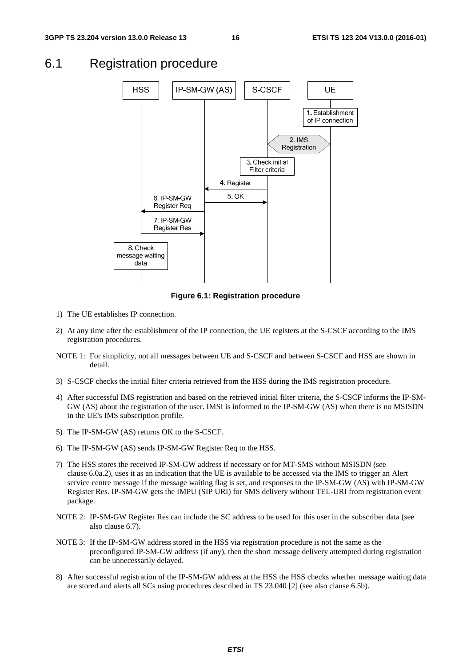### 6.1 Registration procedure



**Figure 6.1: Registration procedure** 

- 1) The UE establishes IP connection.
- 2) At any time after the establishment of the IP connection, the UE registers at the S-CSCF according to the IMS registration procedures.
- NOTE 1: For simplicity, not all messages between UE and S-CSCF and between S-CSCF and HSS are shown in detail.
- 3) S-CSCF checks the initial filter criteria retrieved from the HSS during the IMS registration procedure.
- 4) After successful IMS registration and based on the retrieved initial filter criteria, the S-CSCF informs the IP-SM-GW (AS) about the registration of the user. IMSI is informed to the IP-SM-GW (AS) when there is no MSISDN in the UE's IMS subscription profile.
- 5) The IP-SM-GW (AS) returns OK to the S-CSCF.
- 6) The IP-SM-GW (AS) sends IP-SM-GW Register Req to the HSS.
- 7) The HSS stores the received IP-SM-GW address if necessary or for MT-SMS without MSISDN (see clause 6.0a.2), uses it as an indication that the UE is available to be accessed via the IMS to trigger an Alert service centre message if the message waiting flag is set, and responses to the IP-SM-GW (AS) with IP-SM-GW Register Res. IP-SM-GW gets the IMPU (SIP URI) for SMS delivery without TEL-URI from registration event package.
- NOTE 2: IP-SM-GW Register Res can include the SC address to be used for this user in the subscriber data (see also clause 6.7).
- NOTE 3: If the IP-SM-GW address stored in the HSS via registration procedure is not the same as the preconfigured IP-SM-GW address (if any), then the short message delivery attempted during registration can be unnecessarily delayed.
- 8) After successful registration of the IP-SM-GW address at the HSS the HSS checks whether message waiting data are stored and alerts all SCs using procedures described in TS 23.040 [2] (see also clause 6.5b).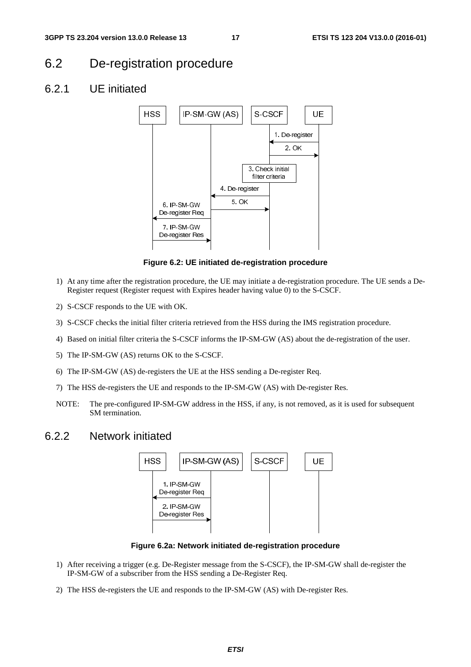### 6.2 De-registration procedure

#### 6.2.1 UE initiated



**Figure 6.2: UE initiated de-registration procedure** 

- 1) At any time after the registration procedure, the UE may initiate a de-registration procedure. The UE sends a De-Register request (Register request with Expires header having value 0) to the S-CSCF.
- 2) S-CSCF responds to the UE with OK.
- 3) S-CSCF checks the initial filter criteria retrieved from the HSS during the IMS registration procedure.
- 4) Based on initial filter criteria the S-CSCF informs the IP-SM-GW (AS) about the de-registration of the user.
- 5) The IP-SM-GW (AS) returns OK to the S-CSCF.
- 6) The IP-SM-GW (AS) de-registers the UE at the HSS sending a De-register Req.
- 7) The HSS de-registers the UE and responds to the IP-SM-GW (AS) with De-register Res.
- NOTE: The pre-configured IP-SM-GW address in the HSS, if any, is not removed, as it is used for subsequent SM termination.

#### 6.2.2 Network initiated



**Figure 6.2a: Network initiated de-registration procedure** 

- 1) After receiving a trigger (e.g. De-Register message from the S-CSCF), the IP-SM-GW shall de-register the IP-SM-GW of a subscriber from the HSS sending a De-Register Req.
- 2) The HSS de-registers the UE and responds to the IP-SM-GW (AS) with De-register Res.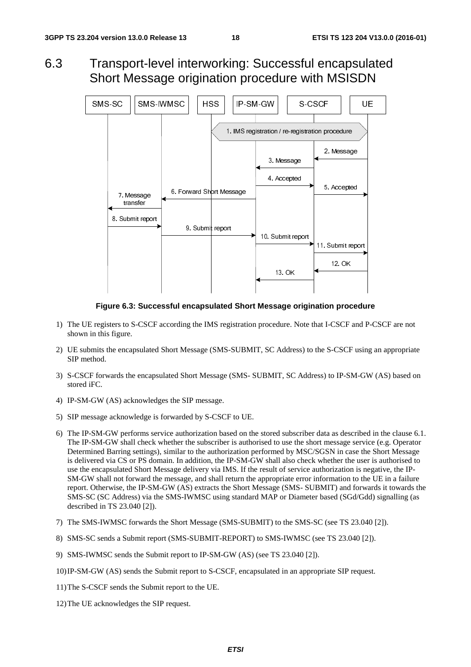6.3 Transport-level interworking: Successful encapsulated Short Message origination procedure with MSISDN



**Figure 6.3: Successful encapsulated Short Message origination procedure** 

- 1) The UE registers to S-CSCF according the IMS registration procedure. Note that I-CSCF and P-CSCF are not shown in this figure.
- 2) UE submits the encapsulated Short Message (SMS-SUBMIT, SC Address) to the S-CSCF using an appropriate SIP method.
- 3) S-CSCF forwards the encapsulated Short Message (SMS- SUBMIT, SC Address) to IP-SM-GW (AS) based on stored iFC.
- 4) IP-SM-GW (AS) acknowledges the SIP message.
- 5) SIP message acknowledge is forwarded by S-CSCF to UE.
- 6) The IP-SM-GW performs service authorization based on the stored subscriber data as described in the clause 6.1. The IP-SM-GW shall check whether the subscriber is authorised to use the short message service (e.g. Operator Determined Barring settings), similar to the authorization performed by MSC/SGSN in case the Short Message is delivered via CS or PS domain. In addition, the IP-SM-GW shall also check whether the user is authorised to use the encapsulated Short Message delivery via IMS. If the result of service authorization is negative, the IP-SM-GW shall not forward the message, and shall return the appropriate error information to the UE in a failure report. Otherwise, the IP-SM-GW (AS) extracts the Short Message (SMS- SUBMIT) and forwards it towards the SMS-SC (SC Address) via the SMS-IWMSC using standard MAP or Diameter based (SGd/Gdd) signalling (as described in TS 23.040 [2]).
- 7) The SMS-IWMSC forwards the Short Message (SMS-SUBMIT) to the SMS-SC (see TS 23.040 [2]).
- 8) SMS-SC sends a Submit report (SMS-SUBMIT-REPORT) to SMS-IWMSC (see TS 23.040 [2]).
- 9) SMS-IWMSC sends the Submit report to IP-SM-GW (AS) (see TS 23.040 [2]).
- 10) IP-SM-GW (AS) sends the Submit report to S-CSCF, encapsulated in an appropriate SIP request.
- 11) The S-CSCF sends the Submit report to the UE.
- 12) The UE acknowledges the SIP request.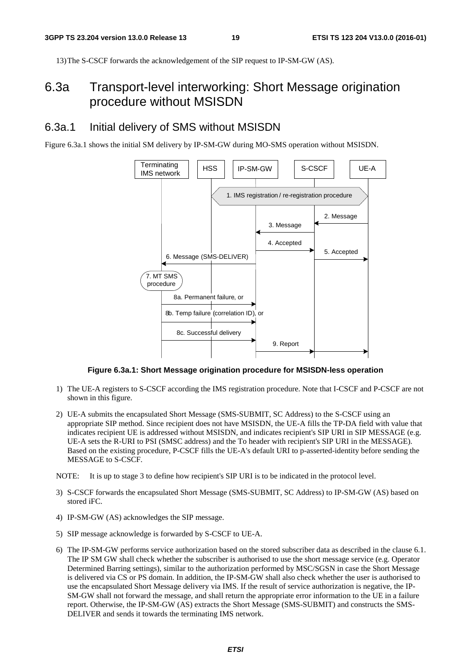13) The S-CSCF forwards the acknowledgement of the SIP request to IP-SM-GW (AS).

### 6.3a Transport-level interworking: Short Message origination procedure without MSISDN

#### 6.3a.1 Initial delivery of SMS without MSISDN

Figure 6.3a.1 shows the initial SM delivery by IP-SM-GW during MO-SMS operation without MSISDN.



**Figure 6.3a.1: Short Message origination procedure for MSISDN-less operation** 

- 1) The UE-A registers to S-CSCF according the IMS registration procedure. Note that I-CSCF and P-CSCF are not shown in this figure.
- 2) UE-A submits the encapsulated Short Message (SMS-SUBMIT, SC Address) to the S-CSCF using an appropriate SIP method. Since recipient does not have MSISDN, the UE-A fills the TP-DA field with value that indicates recipient UE is addressed without MSISDN, and indicates recipient's SIP URI in SIP MESSAGE (e.g. UE-A sets the R-URI to PSI (SMSC address) and the To header with recipient's SIP URI in the MESSAGE). Based on the existing procedure, P-CSCF fills the UE-A's default URI to p-asserted-identity before sending the MESSAGE to S-CSCF.
- NOTE: It is up to stage 3 to define how recipient's SIP URI is to be indicated in the protocol level.
- 3) S-CSCF forwards the encapsulated Short Message (SMS-SUBMIT, SC Address) to IP-SM-GW (AS) based on stored iFC.
- 4) IP-SM-GW (AS) acknowledges the SIP message.
- 5) SIP message acknowledge is forwarded by S-CSCF to UE-A.
- 6) The IP-SM-GW performs service authorization based on the stored subscriber data as described in the clause 6.1. The IP SM GW shall check whether the subscriber is authorised to use the short message service (e.g. Operator Determined Barring settings), similar to the authorization performed by MSC/SGSN in case the Short Message is delivered via CS or PS domain. In addition, the IP-SM-GW shall also check whether the user is authorised to use the encapsulated Short Message delivery via IMS. If the result of service authorization is negative, the IP-SM-GW shall not forward the message, and shall return the appropriate error information to the UE in a failure report. Otherwise, the IP-SM-GW (AS) extracts the Short Message (SMS-SUBMIT) and constructs the SMS-DELIVER and sends it towards the terminating IMS network.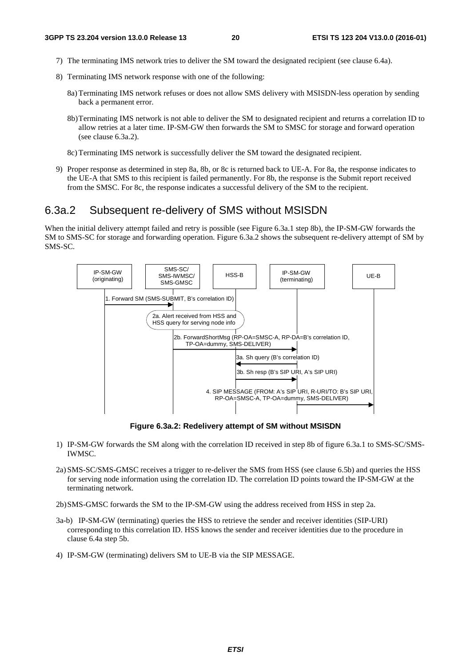- 7) The terminating IMS network tries to deliver the SM toward the designated recipient (see clause 6.4a).
- 8) Terminating IMS network response with one of the following:
	- 8a) Terminating IMS network refuses or does not allow SMS delivery with MSISDN-less operation by sending back a permanent error.
	- 8b) Terminating IMS network is not able to deliver the SM to designated recipient and returns a correlation ID to allow retries at a later time. IP-SM-GW then forwards the SM to SMSC for storage and forward operation (see clause 6.3a.2).
	- 8c) Terminating IMS network is successfully deliver the SM toward the designated recipient.
- 9) Proper response as determined in step 8a, 8b, or 8c is returned back to UE-A. For 8a, the response indicates to the UE-A that SMS to this recipient is failed permanently. For 8b, the response is the Submit report received from the SMSC. For 8c, the response indicates a successful delivery of the SM to the recipient.

#### 6.3a.2 Subsequent re-delivery of SMS without MSISDN

When the initial delivery attempt failed and retry is possible (see Figure 6.3a.1 step 8b), the IP-SM-GW forwards the SM to SMS-SC for storage and forwarding operation. Figure 6.3a.2 shows the subsequent re-delivery attempt of SM by SMS-SC.



**Figure 6.3a.2: Redelivery attempt of SM without MSISDN** 

- 1) IP-SM-GW forwards the SM along with the correlation ID received in step 8b of figure 6.3a.1 to SMS-SC/SMS-IWMSC.
- 2a) SMS-SC/SMS-GMSC receives a trigger to re-deliver the SMS from HSS (see clause 6.5b) and queries the HSS for serving node information using the correlation ID. The correlation ID points toward the IP-SM-GW at the terminating network.

2b) SMS-GMSC forwards the SM to the IP-SM-GW using the address received from HSS in step 2a.

- 3a-b) IP-SM-GW (terminating) queries the HSS to retrieve the sender and receiver identities (SIP-URI) corresponding to this correlation ID. HSS knows the sender and receiver identities due to the procedure in clause 6.4a step 5b.
- 4) IP-SM-GW (terminating) delivers SM to UE-B via the SIP MESSAGE.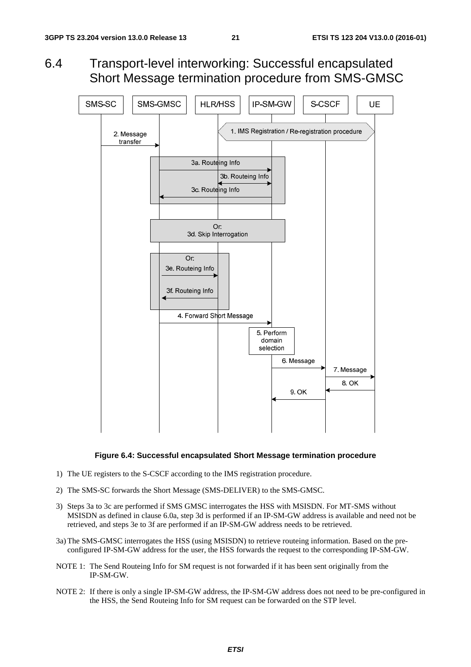6.4 Transport-level interworking: Successful encapsulated Short Message termination procedure from SMS-GMSC



#### **Figure 6.4: Successful encapsulated Short Message termination procedure**

- 1) The UE registers to the S-CSCF according to the IMS registration procedure.
- 2) The SMS-SC forwards the Short Message (SMS-DELIVER) to the SMS-GMSC.
- 3) Steps 3a to 3c are performed if SMS GMSC interrogates the HSS with MSISDN. For MT-SMS without MSISDN as defined in clause 6.0a, step 3d is performed if an IP-SM-GW address is available and need not be retrieved, and steps 3e to 3f are performed if an IP-SM-GW address needs to be retrieved.
- 3a) The SMS-GMSC interrogates the HSS (using MSISDN) to retrieve routeing information. Based on the preconfigured IP-SM-GW address for the user, the HSS forwards the request to the corresponding IP-SM-GW.
- NOTE 1: The Send Routeing Info for SM request is not forwarded if it has been sent originally from the IP-SM-GW.
- NOTE 2: If there is only a single IP-SM-GW address, the IP-SM-GW address does not need to be pre-configured in the HSS, the Send Routeing Info for SM request can be forwarded on the STP level.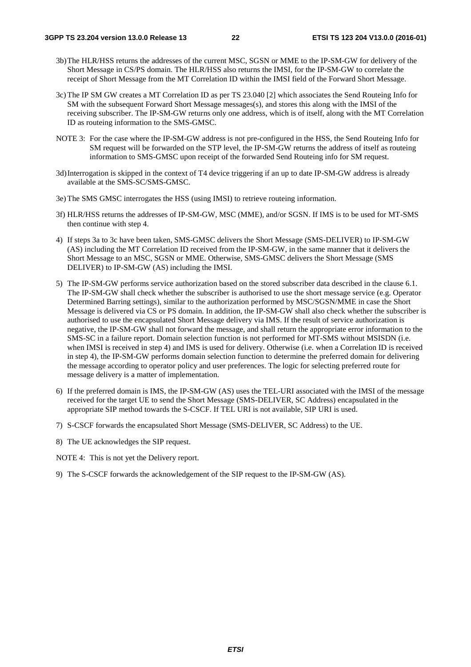- 3b) The HLR/HSS returns the addresses of the current MSC, SGSN or MME to the IP-SM-GW for delivery of the Short Message in CS/PS domain. The HLR/HSS also returns the IMSI, for the IP-SM-GW to correlate the receipt of Short Message from the MT Correlation ID within the IMSI field of the Forward Short Message.
- 3c) The IP SM GW creates a MT Correlation ID as per TS 23.040 [2] which associates the Send Routeing Info for SM with the subsequent Forward Short Message messages(s), and stores this along with the IMSI of the receiving subscriber. The IP-SM-GW returns only one address, which is of itself, along with the MT Correlation ID as routeing information to the SMS-GMSC.
- NOTE 3: For the case where the IP-SM-GW address is not pre-configured in the HSS, the Send Routeing Info for SM request will be forwarded on the STP level, the IP-SM-GW returns the address of itself as routeing information to SMS-GMSC upon receipt of the forwarded Send Routeing info for SM request.
- 3d) Interrogation is skipped in the context of T4 device triggering if an up to date IP-SM-GW address is already available at the SMS-SC/SMS-GMSC.
- 3e) The SMS GMSC interrogates the HSS (using IMSI) to retrieve routeing information.
- 3f) HLR/HSS returns the addresses of IP-SM-GW, MSC (MME), and/or SGSN. If IMS is to be used for MT-SMS then continue with step 4.
- 4) If steps 3a to 3c have been taken, SMS-GMSC delivers the Short Message (SMS-DELIVER) to IP-SM-GW (AS) including the MT Correlation ID received from the IP-SM-GW, in the same manner that it delivers the Short Message to an MSC, SGSN or MME. Otherwise, SMS-GMSC delivers the Short Message (SMS DELIVER) to IP-SM-GW (AS) including the IMSI.
- 5) The IP-SM-GW performs service authorization based on the stored subscriber data described in the clause 6.1. The IP-SM-GW shall check whether the subscriber is authorised to use the short message service (e.g. Operator Determined Barring settings), similar to the authorization performed by MSC/SGSN/MME in case the Short Message is delivered via CS or PS domain. In addition, the IP-SM-GW shall also check whether the subscriber is authorised to use the encapsulated Short Message delivery via IMS. If the result of service authorization is negative, the IP-SM-GW shall not forward the message, and shall return the appropriate error information to the SMS-SC in a failure report. Domain selection function is not performed for MT-SMS without MSISDN (i.e. when IMSI is received in step 4) and IMS is used for delivery. Otherwise (i.e. when a Correlation ID is received in step 4), the IP-SM-GW performs domain selection function to determine the preferred domain for delivering the message according to operator policy and user preferences. The logic for selecting preferred route for message delivery is a matter of implementation.
- 6) If the preferred domain is IMS, the IP-SM-GW (AS) uses the TEL-URI associated with the IMSI of the message received for the target UE to send the Short Message (SMS-DELIVER, SC Address) encapsulated in the appropriate SIP method towards the S-CSCF. If TEL URI is not available, SIP URI is used.
- 7) S-CSCF forwards the encapsulated Short Message (SMS-DELIVER, SC Address) to the UE.
- 8) The UE acknowledges the SIP request.
- NOTE 4: This is not yet the Delivery report.
- 9) The S-CSCF forwards the acknowledgement of the SIP request to the IP-SM-GW (AS).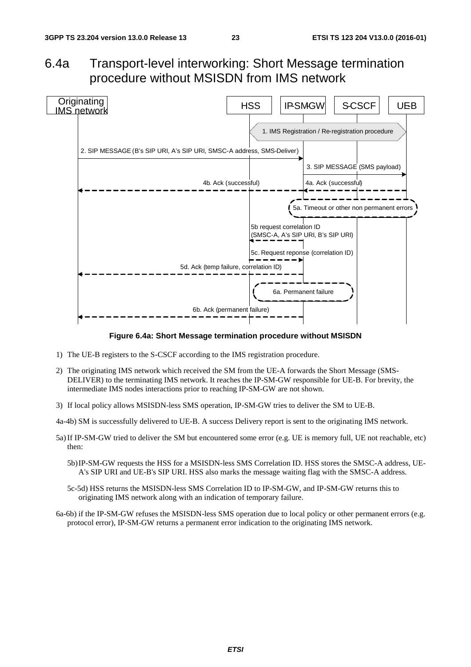## 6.4a Transport-level interworking: Short Message termination procedure without MSISDN from IMS network



**Figure 6.4a: Short Message termination procedure without MSISDN** 

- 1) The UE-B registers to the S-CSCF according to the IMS registration procedure.
- 2) The originating IMS network which received the SM from the UE-A forwards the Short Message (SMS-DELIVER) to the terminating IMS network. It reaches the IP-SM-GW responsible for UE-B. For brevity, the intermediate IMS nodes interactions prior to reaching IP-SM-GW are not shown.
- 3) If local policy allows MSISDN-less SMS operation, IP-SM-GW tries to deliver the SM to UE-B.

4a-4b) SM is successfully delivered to UE-B. A success Delivery report is sent to the originating IMS network.

- 5a) If IP-SM-GW tried to deliver the SM but encountered some error (e.g. UE is memory full, UE not reachable, etc) then:
	- 5b) IP-SM-GW requests the HSS for a MSISDN-less SMS Correlation ID. HSS stores the SMSC-A address, UE-A's SIP URI and UE-B's SIP URI. HSS also marks the message waiting flag with the SMSC-A address.
	- 5c-5d) HSS returns the MSISDN-less SMS Correlation ID to IP-SM-GW, and IP-SM-GW returns this to originating IMS network along with an indication of temporary failure.
- 6a-6b) if the IP-SM-GW refuses the MSISDN-less SMS operation due to local policy or other permanent errors (e.g. protocol error), IP-SM-GW returns a permanent error indication to the originating IMS network.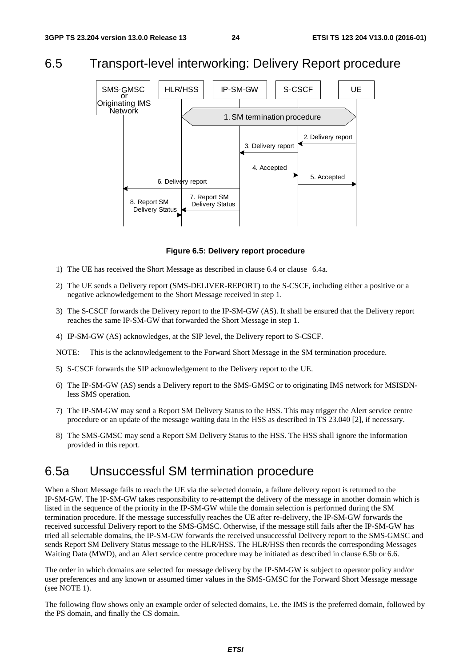### 6.5 Transport-level interworking: Delivery Report procedure



**Figure 6.5: Delivery report procedure** 

- 1) The UE has received the Short Message as described in clause 6.4 or clause 6.4a.
- 2) The UE sends a Delivery report (SMS-DELIVER-REPORT) to the S-CSCF, including either a positive or a negative acknowledgement to the Short Message received in step 1.
- 3) The S-CSCF forwards the Delivery report to the IP-SM-GW (AS). It shall be ensured that the Delivery report reaches the same IP-SM-GW that forwarded the Short Message in step 1.
- 4) IP-SM-GW (AS) acknowledges, at the SIP level, the Delivery report to S-CSCF.

NOTE: This is the acknowledgement to the Forward Short Message in the SM termination procedure.

- 5) S-CSCF forwards the SIP acknowledgement to the Delivery report to the UE.
- 6) The IP-SM-GW (AS) sends a Delivery report to the SMS-GMSC or to originating IMS network for MSISDNless SMS operation.
- 7) The IP-SM-GW may send a Report SM Delivery Status to the HSS. This may trigger the Alert service centre procedure or an update of the message waiting data in the HSS as described in TS 23.040 [2], if necessary.
- 8) The SMS-GMSC may send a Report SM Delivery Status to the HSS. The HSS shall ignore the information provided in this report.

### 6.5a Unsuccessful SM termination procedure

When a Short Message fails to reach the UE via the selected domain, a failure delivery report is returned to the IP-SM-GW. The IP-SM-GW takes responsibility to re-attempt the delivery of the message in another domain which is listed in the sequence of the priority in the IP-SM-GW while the domain selection is performed during the SM termination procedure. If the message successfully reaches the UE after re-delivery, the IP-SM-GW forwards the received successful Delivery report to the SMS-GMSC. Otherwise, if the message still fails after the IP-SM-GW has tried all selectable domains, the IP-SM-GW forwards the received unsuccessful Delivery report to the SMS-GMSC and sends Report SM Delivery Status message to the HLR/HSS. The HLR/HSS then records the corresponding Messages Waiting Data (MWD), and an Alert service centre procedure may be initiated as described in clause 6.5b or 6.6.

The order in which domains are selected for message delivery by the IP-SM-GW is subject to operator policy and/or user preferences and any known or assumed timer values in the SMS-GMSC for the Forward Short Message message (see NOTE 1).

The following flow shows only an example order of selected domains, i.e. the IMS is the preferred domain, followed by the PS domain, and finally the CS domain.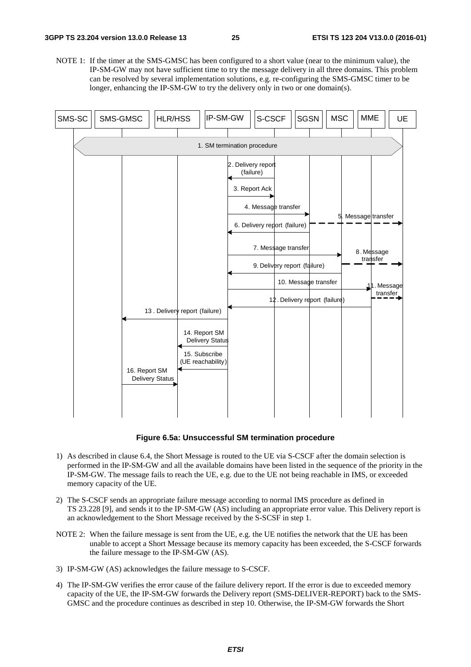NOTE 1: If the timer at the SMS-GMSC has been configured to a short value (near to the minimum value), the IP-SM-GW may not have sufficient time to try the message delivery in all three domains. This problem can be resolved by several implementation solutions, e.g. re-configuring the SMS-GMSC timer to be longer, enhancing the IP-SM-GW to try the delivery only in two or one domain(s).



**Figure 6.5a: Unsuccessful SM termination procedure** 

- 1) As described in clause 6.4, the Short Message is routed to the UE via S-CSCF after the domain selection is performed in the IP-SM-GW and all the available domains have been listed in the sequence of the priority in the IP-SM-GW. The message fails to reach the UE, e.g. due to the UE not being reachable in IMS, or exceeded memory capacity of the UE.
- 2) The S-CSCF sends an appropriate failure message according to normal IMS procedure as defined in TS 23.228 [9], and sends it to the IP-SM-GW (AS) including an appropriate error value. This Delivery report is an acknowledgement to the Short Message received by the S-SCSF in step 1.
- NOTE 2: When the failure message is sent from the UE, e.g. the UE notifies the network that the UE has been unable to accept a Short Message because its memory capacity has been exceeded, the S-CSCF forwards the failure message to the IP-SM-GW (AS).
- 3) IP-SM-GW (AS) acknowledges the failure message to S-CSCF.
- 4) The IP-SM-GW verifies the error cause of the failure delivery report. If the error is due to exceeded memory capacity of the UE, the IP-SM-GW forwards the Delivery report (SMS-DELIVER-REPORT) back to the SMS-GMSC and the procedure continues as described in step 10. Otherwise, the IP-SM-GW forwards the Short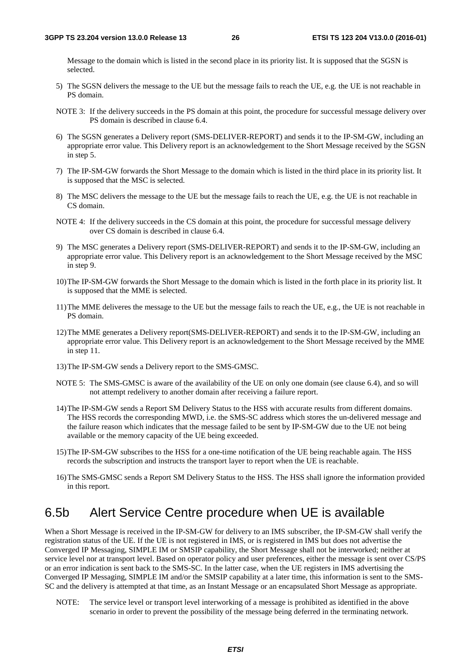Message to the domain which is listed in the second place in its priority list. It is supposed that the SGSN is selected.

- 5) The SGSN delivers the message to the UE but the message fails to reach the UE, e.g. the UE is not reachable in PS domain.
- NOTE 3: If the delivery succeeds in the PS domain at this point, the procedure for successful message delivery over PS domain is described in clause 6.4.
- 6) The SGSN generates a Delivery report (SMS-DELIVER-REPORT) and sends it to the IP-SM-GW, including an appropriate error value. This Delivery report is an acknowledgement to the Short Message received by the SGSN in step 5.
- 7) The IP-SM-GW forwards the Short Message to the domain which is listed in the third place in its priority list. It is supposed that the MSC is selected.
- 8) The MSC delivers the message to the UE but the message fails to reach the UE, e.g. the UE is not reachable in CS domain.
- NOTE 4: If the delivery succeeds in the CS domain at this point, the procedure for successful message delivery over CS domain is described in clause 6.4.
- 9) The MSC generates a Delivery report (SMS-DELIVER-REPORT) and sends it to the IP-SM-GW, including an appropriate error value. This Delivery report is an acknowledgement to the Short Message received by the MSC in step 9.
- 10) The IP-SM-GW forwards the Short Message to the domain which is listed in the forth place in its priority list. It is supposed that the MME is selected.
- 11) The MME deliveres the message to the UE but the message fails to reach the UE, e.g., the UE is not reachable in PS domain.
- 12) The MME generates a Delivery report(SMS-DELIVER-REPORT) and sends it to the IP-SM-GW, including an appropriate error value. This Delivery report is an acknowledgement to the Short Message received by the MME in step 11.
- 13) The IP-SM-GW sends a Delivery report to the SMS-GMSC.
- NOTE 5: The SMS-GMSC is aware of the availability of the UE on only one domain (see clause 6.4), and so will not attempt redelivery to another domain after receiving a failure report.
- 14) The IP-SM-GW sends a Report SM Delivery Status to the HSS with accurate results from different domains. The HSS records the corresponding MWD, i.e. the SMS-SC address which stores the un-delivered message and the failure reason which indicates that the message failed to be sent by IP-SM-GW due to the UE not being available or the memory capacity of the UE being exceeded.
- 15) The IP-SM-GW subscribes to the HSS for a one-time notification of the UE being reachable again. The HSS records the subscription and instructs the transport layer to report when the UE is reachable.
- 16) The SMS-GMSC sends a Report SM Delivery Status to the HSS. The HSS shall ignore the information provided in this report.

### 6.5b Alert Service Centre procedure when UE is available

When a Short Message is received in the IP-SM-GW for delivery to an IMS subscriber, the IP-SM-GW shall verify the registration status of the UE. If the UE is not registered in IMS, or is registered in IMS but does not advertise the Converged IP Messaging, SIMPLE IM or SMSIP capability, the Short Message shall not be interworked; neither at service level nor at transport level. Based on operator policy and user preferences, either the message is sent over CS/PS or an error indication is sent back to the SMS-SC. In the latter case, when the UE registers in IMS advertising the Converged IP Messaging, SIMPLE IM and/or the SMSIP capability at a later time, this information is sent to the SMS-SC and the delivery is attempted at that time, as an Instant Message or an encapsulated Short Message as appropriate.

NOTE: The service level or transport level interworking of a message is prohibited as identified in the above scenario in order to prevent the possibility of the message being deferred in the terminating network.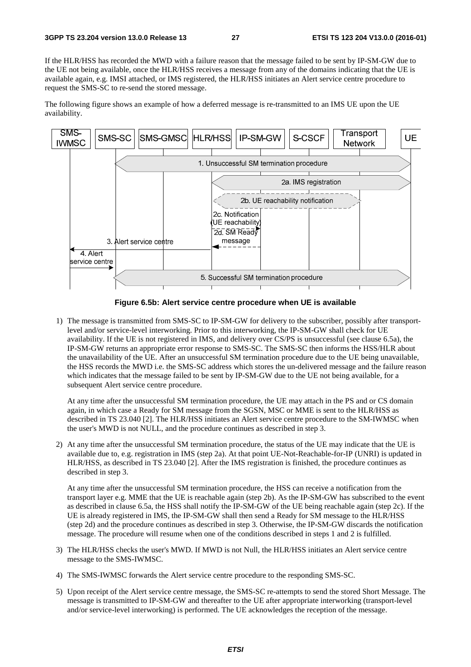If the HLR/HSS has recorded the MWD with a failure reason that the message failed to be sent by IP-SM-GW due to the UE not being available, once the HLR/HSS receives a message from any of the domains indicating that the UE is available again, e.g. IMSI attached, or IMS registered, the HLR/HSS initiates an Alert service centre procedure to request the SMS-SC to re-send the stored message.

The following figure shows an example of how a deferred message is re-transmitted to an IMS UE upon the UE availability.



**Figure 6.5b: Alert service centre procedure when UE is available** 

1) The message is transmitted from SMS-SC to IP-SM-GW for delivery to the subscriber, possibly after transportlevel and/or service-level interworking. Prior to this interworking, the IP-SM-GW shall check for UE availability. If the UE is not registered in IMS, and delivery over CS/PS is unsuccessful (see clause 6.5a), the IP-SM-GW returns an appropriate error response to SMS-SC. The SMS-SC then informs the HSS/HLR about the unavailability of the UE. After an unsuccessful SM termination procedure due to the UE being unavailable, the HSS records the MWD i.e. the SMS-SC address which stores the un-delivered message and the failure reason which indicates that the message failed to be sent by IP-SM-GW due to the UE not being available, for a subsequent Alert service centre procedure.

 At any time after the unsuccessful SM termination procedure, the UE may attach in the PS and or CS domain again, in which case a Ready for SM message from the SGSN, MSC or MME is sent to the HLR/HSS as described in TS 23.040 [2]. The HLR/HSS initiates an Alert service centre procedure to the SM-IWMSC when the user's MWD is not NULL, and the procedure continues as described in step 3.

2) At any time after the unsuccessful SM termination procedure, the status of the UE may indicate that the UE is available due to, e.g. registration in IMS (step 2a). At that point UE-Not-Reachable-for-IP (UNRI) is updated in HLR/HSS, as described in TS 23.040 [2]. After the IMS registration is finished, the procedure continues as described in step 3.

 At any time after the unsuccessful SM termination procedure, the HSS can receive a notification from the transport layer e.g. MME that the UE is reachable again (step 2b). As the IP-SM-GW has subscribed to the event as described in clause 6.5a, the HSS shall notify the IP-SM-GW of the UE being reachable again (step 2c). If the UE is already registered in IMS, the IP-SM-GW shall then send a Ready for SM message to the HLR/HSS (step 2d) and the procedure continues as described in step 3. Otherwise, the IP-SM-GW discards the notification message. The procedure will resume when one of the conditions described in steps 1 and 2 is fulfilled.

- 3) The HLR/HSS checks the user's MWD. If MWD is not Null, the HLR/HSS initiates an Alert service centre message to the SMS-IWMSC.
- 4) The SMS-IWMSC forwards the Alert service centre procedure to the responding SMS-SC.
- 5) Upon receipt of the Alert service centre message, the SMS-SC re-attempts to send the stored Short Message. The message is transmitted to IP-SM-GW and thereafter to the UE after appropriate interworking (transport-level and/or service-level interworking) is performed. The UE acknowledges the reception of the message.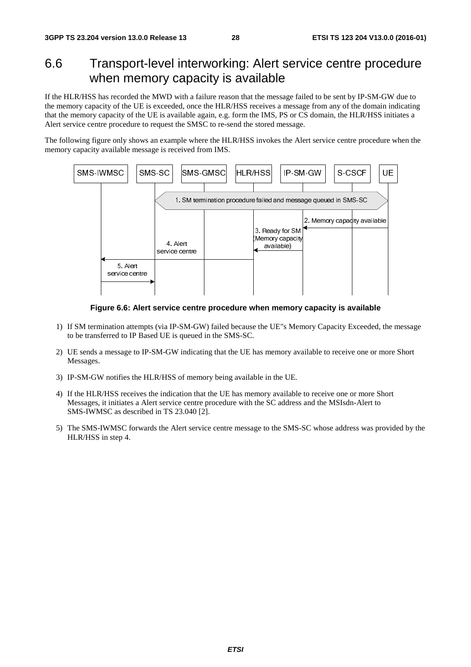## 6.6 Transport-level interworking: Alert service centre procedure when memory capacity is available

If the HLR/HSS has recorded the MWD with a failure reason that the message failed to be sent by IP-SM-GW due to the memory capacity of the UE is exceeded, once the HLR/HSS receives a message from any of the domain indicating that the memory capacity of the UE is available again, e.g. form the IMS, PS or CS domain, the HLR/HSS initiates a Alert service centre procedure to request the SMSC to re-send the stored message.

The following figure only shows an example where the HLR/HSS invokes the Alert service centre procedure when the memory capacity available message is received from IMS.



**Figure 6.6: Alert service centre procedure when memory capacity is available** 

- 1) If SM termination attempts (via IP-SM-GW) failed because the UE"s Memory Capacity Exceeded, the message to be transferred to IP Based UE is queued in the SMS-SC.
- 2) UE sends a message to IP-SM-GW indicating that the UE has memory available to receive one or more Short Messages.
- 3) IP-SM-GW notifies the HLR/HSS of memory being available in the UE.
- 4) If the HLR/HSS receives the indication that the UE has memory available to receive one or more Short Messages, it initiates a Alert service centre procedure with the SC address and the MSIsdn-Alert to SMS-IWMSC as described in TS 23.040 [2].
- 5) The SMS-IWMSC forwards the Alert service centre message to the SMS-SC whose address was provided by the HLR/HSS in step 4.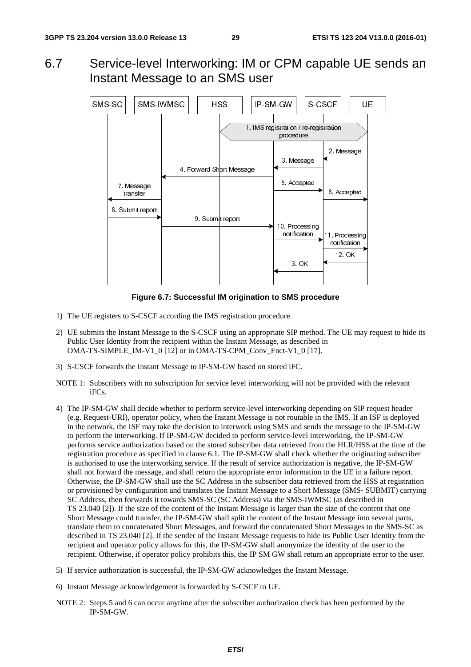6.7 Service-level Interworking: IM or CPM capable UE sends an Instant Message to an SMS user



**Figure 6.7: Successful IM origination to SMS procedure** 

- 1) The UE registers to S-CSCF according the IMS registration procedure.
- 2) UE submits the Instant Message to the S-CSCF using an appropriate SIP method. The UE may request to hide its Public User Identity from the recipient within the Instant Message, as described in OMA-TS-SIMPLE\_IM-V1\_0 [12] or in OMA-TS-CPM\_Conv\_Fnct-V1\_0 [17].
- 3) S-CSCF forwards the Instant Message to IP-SM-GW based on stored iFC.
- NOTE 1: Subscribers with no subscription for service level interworking will not be provided with the relevant iFCs.
- 4) The IP-SM-GW shall decide whether to perform service-level interworking depending on SIP request header (e.g. Request-URI), operator policy, when the Instant Message is not routable in the IMS. If an ISF is deployed in the network, the ISF may take the decision to interwork using SMS and sends the message to the IP-SM-GW to perform the interworking. If IP-SM-GW decided to perform service-level interworking, the IP-SM-GW performs service authorization based on the stored subscriber data retrieved from the HLR/HSS at the time of the registration procedure as specified in clause 6.1. The IP-SM-GW shall check whether the originating subscriber is authorised to use the interworking service. If the result of service authorization is negative, the IP-SM-GW shall not forward the message, and shall return the appropriate error information to the UE in a failure report. Otherwise, the IP-SM-GW shall use the SC Address in the subscriber data retrieved from the HSS at registration or provisioned by configuration and translates the Instant Message to a Short Message (SMS- SUBMIT) carrying SC Address, then forwards it towards SMS-SC (SC Address) via the SMS-IWMSC (as described in TS 23.040 [2]). If the size of the content of the Instant Message is larger than the size of the content that one Short Message could transfer, the IP-SM-GW shall split the content of the Instant Message into several parts, translate them to concatenated Short Messages, and forward the concatenated Short Messages to the SMS-SC as described in TS 23.040 [2]. If the sender of the Instant Message requests to hide its Public User Identity from the recipient and operator policy allows for this, the IP-SM-GW shall anonymize the identity of the user to the recipient. Otherwise, if operator policy prohibits this, the IP SM GW shall return an appropriate error to the user.
- 5) If service authorization is successful, the IP-SM-GW acknowledges the Instant Message.
- 6) Instant Message acknowledgement is forwarded by S-CSCF to UE.
- NOTE 2: Steps 5 and 6 can occur anytime after the subscriber authorization check has been performed by the IP-SM-GW.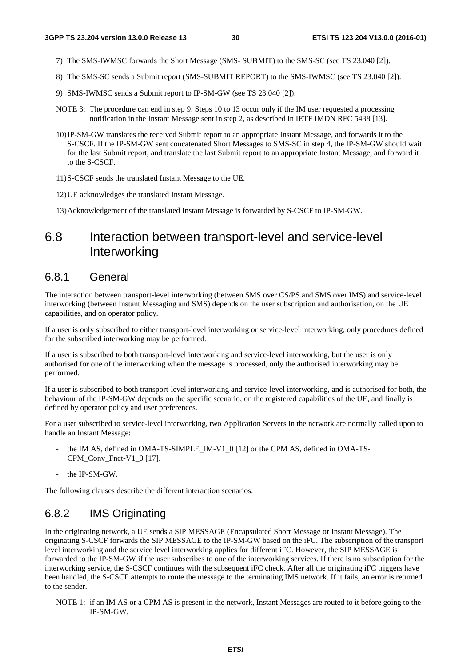- 7) The SMS-IWMSC forwards the Short Message (SMS- SUBMIT) to the SMS-SC (see TS 23.040 [2]).
- 8) The SMS-SC sends a Submit report (SMS-SUBMIT REPORT) to the SMS-IWMSC (see TS 23.040 [2]).
- 9) SMS-IWMSC sends a Submit report to IP-SM-GW (see TS 23.040 [2]).
- NOTE 3: The procedure can end in step 9. Steps 10 to 13 occur only if the IM user requested a processing notification in the Instant Message sent in step 2, as described in IETF IMDN RFC 5438 [13].
- 10) IP-SM-GW translates the received Submit report to an appropriate Instant Message, and forwards it to the S-CSCF. If the IP-SM-GW sent concatenated Short Messages to SMS-SC in step 4, the IP-SM-GW should wait for the last Submit report, and translate the last Submit report to an appropriate Instant Message, and forward it to the S-CSCF.
- 11) S-CSCF sends the translated Instant Message to the UE.
- 12) UE acknowledges the translated Instant Message.
- 13) Acknowledgement of the translated Instant Message is forwarded by S-CSCF to IP-SM-GW.

### 6.8 Interaction between transport-level and service-level **Interworking**

#### 6.8.1 General

The interaction between transport-level interworking (between SMS over CS/PS and SMS over IMS) and service-level interworking (between Instant Messaging and SMS) depends on the user subscription and authorisation, on the UE capabilities, and on operator policy.

If a user is only subscribed to either transport-level interworking or service-level interworking, only procedures defined for the subscribed interworking may be performed.

If a user is subscribed to both transport-level interworking and service-level interworking, but the user is only authorised for one of the interworking when the message is processed, only the authorised interworking may be performed.

If a user is subscribed to both transport-level interworking and service-level interworking, and is authorised for both, the behaviour of the IP-SM-GW depends on the specific scenario, on the registered capabilities of the UE, and finally is defined by operator policy and user preferences.

For a user subscribed to service-level interworking, two Application Servers in the network are normally called upon to handle an Instant Message:

- the IM AS, defined in OMA-TS-SIMPLE\_IM-V1\_0 [12] or the CPM AS, defined in OMA-TS-CPM\_Conv\_Fnct-V1\_0 [17].
- the IP-SM-GW.

The following clauses describe the different interaction scenarios.

#### 6.8.2 IMS Originating

In the originating network, a UE sends a SIP MESSAGE (Encapsulated Short Message or Instant Message). The originating S-CSCF forwards the SIP MESSAGE to the IP-SM-GW based on the iFC. The subscription of the transport level interworking and the service level interworking applies for different iFC. However, the SIP MESSAGE is forwarded to the IP-SM-GW if the user subscribes to one of the interworking services. If there is no subscription for the interworking service, the S-CSCF continues with the subsequent iFC check. After all the originating iFC triggers have been handled, the S-CSCF attempts to route the message to the terminating IMS network. If it fails, an error is returned to the sender.

NOTE 1: if an IM AS or a CPM AS is present in the network, Instant Messages are routed to it before going to the IP-SM-GW.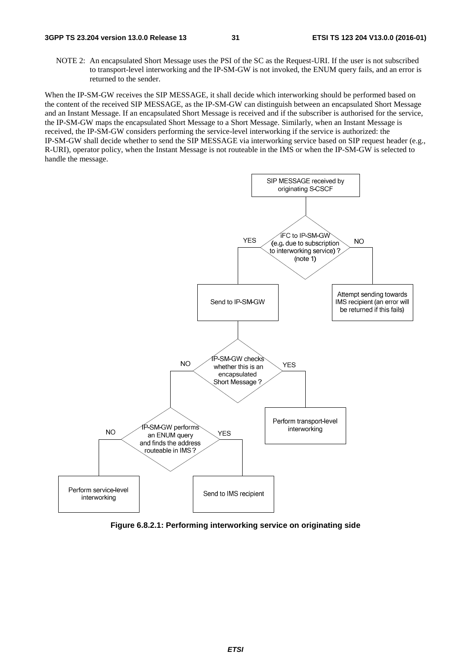NOTE 2: An encapsulated Short Message uses the PSI of the SC as the Request-URI. If the user is not subscribed to transport-level interworking and the IP-SM-GW is not invoked, the ENUM query fails, and an error is returned to the sender.

When the IP-SM-GW receives the SIP MESSAGE, it shall decide which interworking should be performed based on the content of the received SIP MESSAGE, as the IP-SM-GW can distinguish between an encapsulated Short Message and an Instant Message. If an encapsulated Short Message is received and if the subscriber is authorised for the service, the IP-SM-GW maps the encapsulated Short Message to a Short Message. Similarly, when an Instant Message is received, the IP-SM-GW considers performing the service-level interworking if the service is authorized: the IP-SM-GW shall decide whether to send the SIP MESSAGE via interworking service based on SIP request header (e.g., R-URI), operator policy, when the Instant Message is not routeable in the IMS or when the IP-SM-GW is selected to handle the message.



**Figure 6.8.2.1: Performing interworking service on originating side**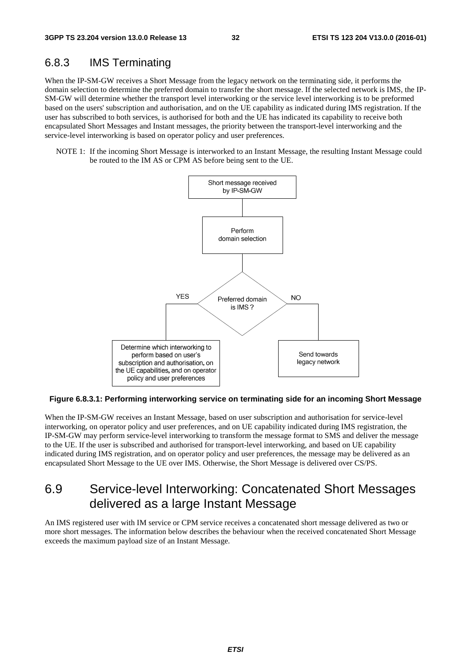#### 6.8.3 IMS Terminating

When the IP-SM-GW receives a Short Message from the legacy network on the terminating side, it performs the domain selection to determine the preferred domain to transfer the short message. If the selected network is IMS, the IP-SM-GW will determine whether the transport level interworking or the service level interworking is to be preformed based on the users' subscription and authorisation, and on the UE capability as indicated during IMS registration. If the user has subscribed to both services, is authorised for both and the UE has indicated its capability to receive both encapsulated Short Messages and Instant messages, the priority between the transport-level interworking and the service-level interworking is based on operator policy and user preferences.

NOTE 1: If the incoming Short Message is interworked to an Instant Message, the resulting Instant Message could be routed to the IM AS or CPM AS before being sent to the UE.



#### **Figure 6.8.3.1: Performing interworking service on terminating side for an incoming Short Message**

When the IP-SM-GW receives an Instant Message, based on user subscription and authorisation for service-level interworking, on operator policy and user preferences, and on UE capability indicated during IMS registration, the IP-SM-GW may perform service-level interworking to transform the message format to SMS and deliver the message to the UE. If the user is subscribed and authorised for transport-level interworking, and based on UE capability indicated during IMS registration, and on operator policy and user preferences, the message may be delivered as an encapsulated Short Message to the UE over IMS. Otherwise, the Short Message is delivered over CS/PS.

## 6.9 Service-level Interworking: Concatenated Short Messages delivered as a large Instant Message

An IMS registered user with IM service or CPM service receives a concatenated short message delivered as two or more short messages. The information below describes the behaviour when the received concatenated Short Message exceeds the maximum payload size of an Instant Message.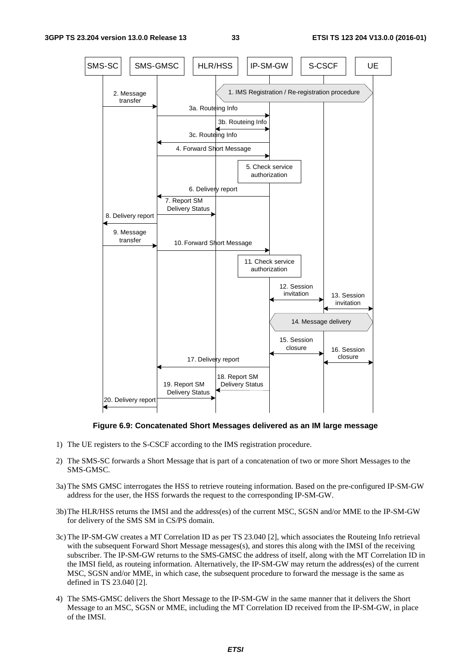

#### **Figure 6.9: Concatenated Short Messages delivered as an IM large message**

- 1) The UE registers to the S-CSCF according to the IMS registration procedure.
- 2) The SMS-SC forwards a Short Message that is part of a concatenation of two or more Short Messages to the SMS-GMSC.
- 3a) The SMS GMSC interrogates the HSS to retrieve routeing information. Based on the pre-configured IP-SM-GW address for the user, the HSS forwards the request to the corresponding IP-SM-GW.
- 3b) The HLR/HSS returns the IMSI and the address(es) of the current MSC, SGSN and/or MME to the IP-SM-GW for delivery of the SMS SM in CS/PS domain.
- 3c) The IP-SM-GW creates a MT Correlation ID as per TS 23.040 [2], which associates the Routeing Info retrieval with the subsequent Forward Short Message messages(s), and stores this along with the IMSI of the receiving subscriber. The IP-SM-GW returns to the SMS-GMSC the address of itself, along with the MT Correlation ID in the IMSI field, as routeing information. Alternatively, the IP-SM-GW may return the address(es) of the current MSC, SGSN and/or MME, in which case, the subsequent procedure to forward the message is the same as defined in TS 23.040 [2].
- 4) The SMS-GMSC delivers the Short Message to the IP-SM-GW in the same manner that it delivers the Short Message to an MSC, SGSN or MME, including the MT Correlation ID received from the IP-SM-GW, in place of the IMSI.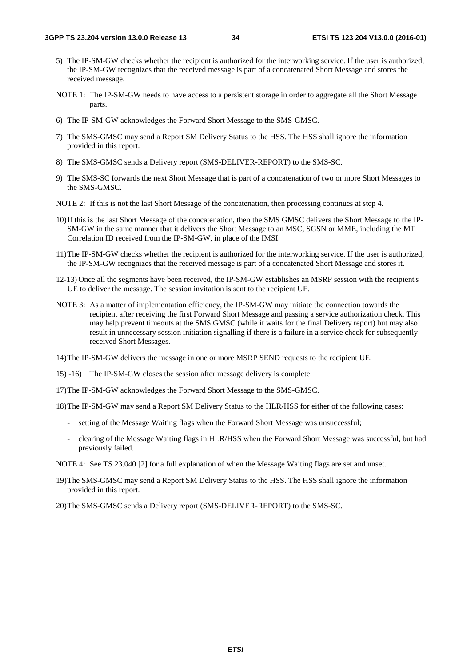- 5) The IP-SM-GW checks whether the recipient is authorized for the interworking service. If the user is authorized, the IP-SM-GW recognizes that the received message is part of a concatenated Short Message and stores the received message.
- NOTE 1: The IP-SM-GW needs to have access to a persistent storage in order to aggregate all the Short Message parts.
- 6) The IP-SM-GW acknowledges the Forward Short Message to the SMS-GMSC.
- 7) The SMS-GMSC may send a Report SM Delivery Status to the HSS. The HSS shall ignore the information provided in this report.
- 8) The SMS-GMSC sends a Delivery report (SMS-DELIVER-REPORT) to the SMS-SC.
- 9) The SMS-SC forwards the next Short Message that is part of a concatenation of two or more Short Messages to the SMS-GMSC.
- NOTE 2: If this is not the last Short Message of the concatenation, then processing continues at step 4.
- 10) If this is the last Short Message of the concatenation, then the SMS GMSC delivers the Short Message to the IP-SM-GW in the same manner that it delivers the Short Message to an MSC, SGSN or MME, including the MT Correlation ID received from the IP-SM-GW, in place of the IMSI.
- 11) The IP-SM-GW checks whether the recipient is authorized for the interworking service. If the user is authorized, the IP-SM-GW recognizes that the received message is part of a concatenated Short Message and stores it.
- 12-13) Once all the segments have been received, the IP-SM-GW establishes an MSRP session with the recipient's UE to deliver the message. The session invitation is sent to the recipient UE.
- NOTE 3: As a matter of implementation efficiency, the IP-SM-GW may initiate the connection towards the recipient after receiving the first Forward Short Message and passing a service authorization check. This may help prevent timeouts at the SMS GMSC (while it waits for the final Delivery report) but may also result in unnecessary session initiation signalling if there is a failure in a service check for subsequently received Short Messages.
- 14) The IP-SM-GW delivers the message in one or more MSRP SEND requests to the recipient UE.
- 15) -16) The IP-SM-GW closes the session after message delivery is complete.
- 17) The IP-SM-GW acknowledges the Forward Short Message to the SMS-GMSC.

18) The IP-SM-GW may send a Report SM Delivery Status to the HLR/HSS for either of the following cases:

- setting of the Message Waiting flags when the Forward Short Message was unsuccessful;
- clearing of the Message Waiting flags in HLR/HSS when the Forward Short Message was successful, but had previously failed.
- NOTE 4: See TS 23.040 [2] for a full explanation of when the Message Waiting flags are set and unset.
- 19) The SMS-GMSC may send a Report SM Delivery Status to the HSS. The HSS shall ignore the information provided in this report.
- 20) The SMS-GMSC sends a Delivery report (SMS-DELIVER-REPORT) to the SMS-SC.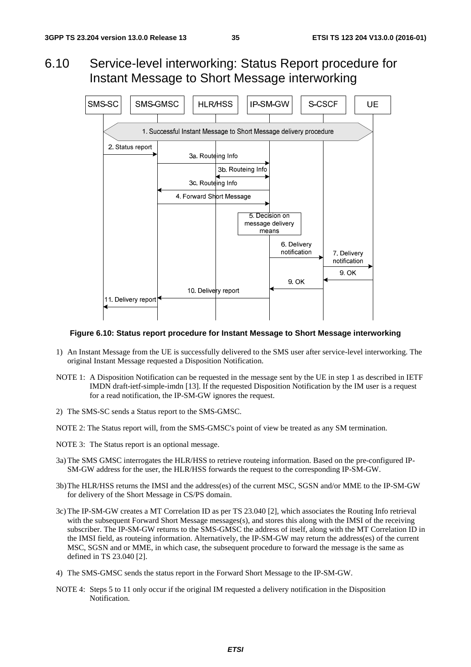### 6.10 Service-level interworking: Status Report procedure for Instant Message to Short Message interworking



#### **Figure 6.10: Status report procedure for Instant Message to Short Message interworking**

- 1) An Instant Message from the UE is successfully delivered to the SMS user after service-level interworking. The original Instant Message requested a Disposition Notification.
- NOTE 1: A Disposition Notification can be requested in the message sent by the UE in step 1 as described in IETF IMDN draft-ietf-simple-imdn [13]. If the requested Disposition Notification by the IM user is a request for a read notification, the IP-SM-GW ignores the request.
- 2) The SMS-SC sends a Status report to the SMS-GMSC.
- NOTE 2: The Status report will, from the SMS-GMSC's point of view be treated as any SM termination.
- NOTE 3: The Status report is an optional message.
- 3a) The SMS GMSC interrogates the HLR/HSS to retrieve routeing information. Based on the pre-configured IP-SM-GW address for the user, the HLR/HSS forwards the request to the corresponding IP-SM-GW.
- 3b) The HLR/HSS returns the IMSI and the address(es) of the current MSC, SGSN and/or MME to the IP-SM-GW for delivery of the Short Message in CS/PS domain.
- 3c) The IP-SM-GW creates a MT Correlation ID as per TS 23.040 [2], which associates the Routing Info retrieval with the subsequent Forward Short Message messages(s), and stores this along with the IMSI of the receiving subscriber. The IP-SM-GW returns to the SMS-GMSC the address of itself, along with the MT Correlation ID in the IMSI field, as routeing information. Alternatively, the IP-SM-GW may return the address(es) of the current MSC, SGSN and or MME, in which case, the subsequent procedure to forward the message is the same as defined in TS 23.040 [2].
- 4) The SMS-GMSC sends the status report in the Forward Short Message to the IP-SM-GW.
- NOTE 4: Steps 5 to 11 only occur if the original IM requested a delivery notification in the Disposition Notification.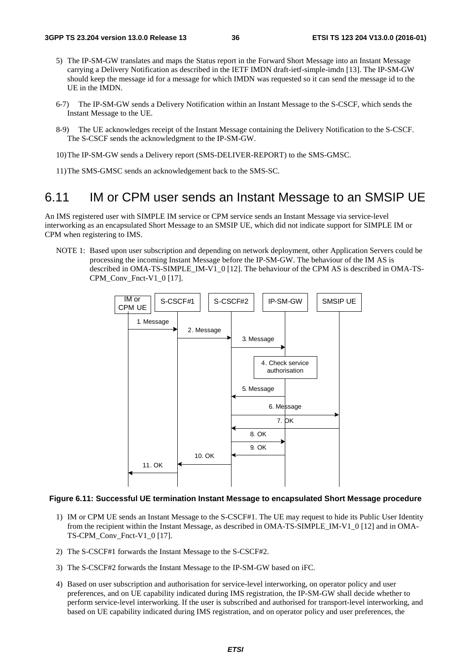- 5) The IP-SM-GW translates and maps the Status report in the Forward Short Message into an Instant Message carrying a Delivery Notification as described in the IETF IMDN draft-ietf-simple-imdn [13]. The IP-SM-GW should keep the message id for a message for which IMDN was requested so it can send the message id to the UE in the IMDN.
- 6-7) The IP-SM-GW sends a Delivery Notification within an Instant Message to the S-CSCF, which sends the Instant Message to the UE.
- 8-9) The UE acknowledges receipt of the Instant Message containing the Delivery Notification to the S-CSCF. The S-CSCF sends the acknowledgment to the IP-SM-GW.
- 10) The IP-SM-GW sends a Delivery report (SMS-DELIVER-REPORT) to the SMS-GMSC.
- 11) The SMS-GMSC sends an acknowledgement back to the SMS-SC.

#### 6.11 IM or CPM user sends an Instant Message to an SMSIP UE

An IMS registered user with SIMPLE IM service or CPM service sends an Instant Message via service-level interworking as an encapsulated Short Message to an SMSIP UE, which did not indicate support for SIMPLE IM or CPM when registering to IMS.

NOTE 1: Based upon user subscription and depending on network deployment, other Application Servers could be processing the incoming Instant Message before the IP-SM-GW. The behaviour of the IM AS is described in OMA-TS-SIMPLE\_IM-V1\_0 [12]. The behaviour of the CPM AS is described in OMA-TS-CPM\_Conv\_Fnct-V1\_0 [17].



#### **Figure 6.11: Successful UE termination Instant Message to encapsulated Short Message procedure**

- 1) IM or CPM UE sends an Instant Message to the S-CSCF#1. The UE may request to hide its Public User Identity from the recipient within the Instant Message, as described in OMA-TS-SIMPLE\_IM-V1\_0 [12] and in OMA-TS-CPM\_Conv\_Fnct-V1\_0 [17].
- 2) The S-CSCF#1 forwards the Instant Message to the S-CSCF#2.
- 3) The S-CSCF#2 forwards the Instant Message to the IP-SM-GW based on iFC.
- 4) Based on user subscription and authorisation for service-level interworking, on operator policy and user preferences, and on UE capability indicated during IMS registration, the IP-SM-GW shall decide whether to perform service-level interworking. If the user is subscribed and authorised for transport-level interworking, and based on UE capability indicated during IMS registration, and on operator policy and user preferences, the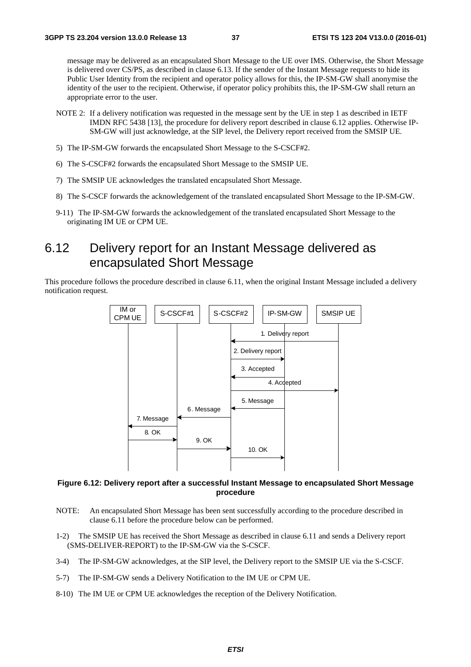message may be delivered as an encapsulated Short Message to the UE over IMS. Otherwise, the Short Message is delivered over CS/PS, as described in clause 6.13. If the sender of the Instant Message requests to hide its Public User Identity from the recipient and operator policy allows for this, the IP-SM-GW shall anonymise the identity of the user to the recipient. Otherwise, if operator policy prohibits this, the IP-SM-GW shall return an appropriate error to the user.

- NOTE 2: If a delivery notification was requested in the message sent by the UE in step 1 as described in IETF IMDN RFC 5438 [13], the procedure for delivery report described in clause 6.12 applies. Otherwise IP-SM-GW will just acknowledge, at the SIP level, the Delivery report received from the SMSIP UE.
- 5) The IP-SM-GW forwards the encapsulated Short Message to the S-CSCF#2.
- 6) The S-CSCF#2 forwards the encapsulated Short Message to the SMSIP UE.
- 7) The SMSIP UE acknowledges the translated encapsulated Short Message.
- 8) The S-CSCF forwards the acknowledgement of the translated encapsulated Short Message to the IP-SM-GW.
- 9-11) The IP-SM-GW forwards the acknowledgement of the translated encapsulated Short Message to the originating IM UE or CPM UE.

### 6.12 Delivery report for an Instant Message delivered as encapsulated Short Message

This procedure follows the procedure described in clause 6.11, when the original Instant Message included a delivery notification request.



#### **Figure 6.12: Delivery report after a successful Instant Message to encapsulated Short Message procedure**

- NOTE: An encapsulated Short Message has been sent successfully according to the procedure described in clause 6.11 before the procedure below can be performed.
- 1-2) The SMSIP UE has received the Short Message as described in clause 6.11 and sends a Delivery report (SMS-DELIVER-REPORT) to the IP-SM-GW via the S-CSCF.
- 3-4) The IP-SM-GW acknowledges, at the SIP level, the Delivery report to the SMSIP UE via the S-CSCF.
- 5-7) The IP-SM-GW sends a Delivery Notification to the IM UE or CPM UE.
- 8-10) The IM UE or CPM UE acknowledges the reception of the Delivery Notification.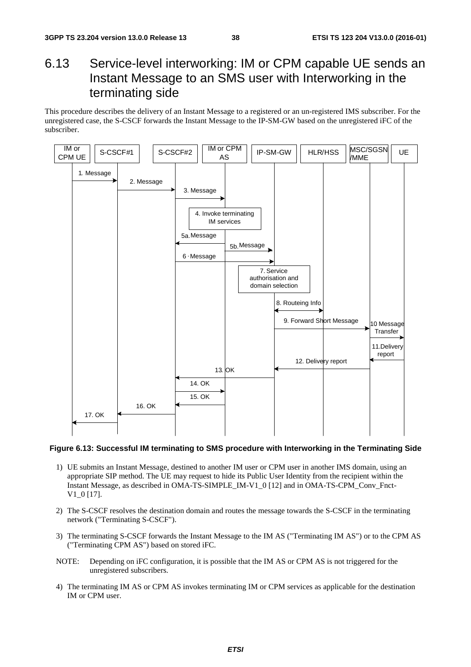## 6.13 Service-level interworking: IM or CPM capable UE sends an Instant Message to an SMS user with Interworking in the terminating side

This procedure describes the delivery of an Instant Message to a registered or an un-registered IMS subscriber. For the unregistered case, the S-CSCF forwards the Instant Message to the IP-SM-GW based on the unregistered iFC of the subscriber.



#### **Figure 6.13: Successful IM terminating to SMS procedure with Interworking in the Terminating Side**

- 1) UE submits an Instant Message, destined to another IM user or CPM user in another IMS domain, using an appropriate SIP method. The UE may request to hide its Public User Identity from the recipient within the Instant Message, as described in OMA-TS-SIMPLE\_IM-V1\_0 [12] and in OMA-TS-CPM\_Conv\_Fnct-V1\_0 [17].
- 2) The S-CSCF resolves the destination domain and routes the message towards the S-CSCF in the terminating network ("Terminating S-CSCF").
- 3) The terminating S-CSCF forwards the Instant Message to the IM AS ("Terminating IM AS") or to the CPM AS ("Terminating CPM AS") based on stored iFC.
- NOTE: Depending on iFC configuration, it is possible that the IM AS or CPM AS is not triggered for the unregistered subscribers.
- 4) The terminating IM AS or CPM AS invokes terminating IM or CPM services as applicable for the destination IM or CPM user.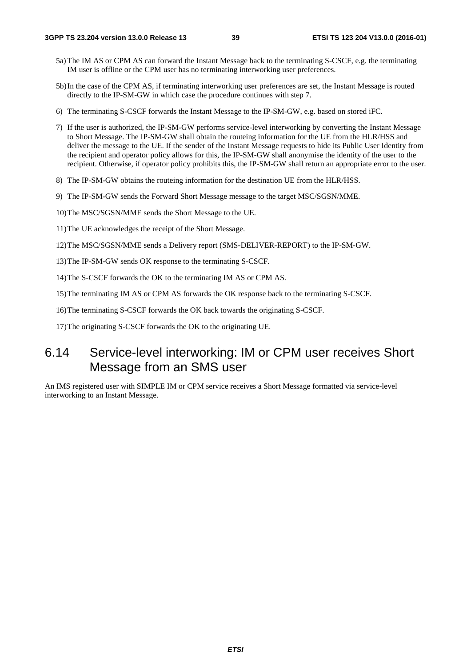- 5a) The IM AS or CPM AS can forward the Instant Message back to the terminating S-CSCF, e.g. the terminating IM user is offline or the CPM user has no terminating interworking user preferences.
- 5b) In the case of the CPM AS, if terminating interworking user preferences are set, the Instant Message is routed directly to the IP-SM-GW in which case the procedure continues with step 7.
- 6) The terminating S-CSCF forwards the Instant Message to the IP-SM-GW, e.g. based on stored iFC.
- 7) If the user is authorized, the IP-SM-GW performs service-level interworking by converting the Instant Message to Short Message. The IP-SM-GW shall obtain the routeing information for the UE from the HLR/HSS and deliver the message to the UE. If the sender of the Instant Message requests to hide its Public User Identity from the recipient and operator policy allows for this, the IP-SM-GW shall anonymise the identity of the user to the recipient. Otherwise, if operator policy prohibits this, the IP-SM-GW shall return an appropriate error to the user.
- 8) The IP-SM-GW obtains the routeing information for the destination UE from the HLR/HSS.
- 9) The IP-SM-GW sends the Forward Short Message message to the target MSC/SGSN/MME.
- 10) The MSC/SGSN/MME sends the Short Message to the UE.
- 11) The UE acknowledges the receipt of the Short Message.
- 12) The MSC/SGSN/MME sends a Delivery report (SMS-DELIVER-REPORT) to the IP-SM-GW.
- 13) The IP-SM-GW sends OK response to the terminating S-CSCF.
- 14) The S-CSCF forwards the OK to the terminating IM AS or CPM AS.
- 15) The terminating IM AS or CPM AS forwards the OK response back to the terminating S-CSCF.
- 16) The terminating S-CSCF forwards the OK back towards the originating S-CSCF.
- 17) The originating S-CSCF forwards the OK to the originating UE.

### 6.14 Service-level interworking: IM or CPM user receives Short Message from an SMS user

An IMS registered user with SIMPLE IM or CPM service receives a Short Message formatted via service-level interworking to an Instant Message.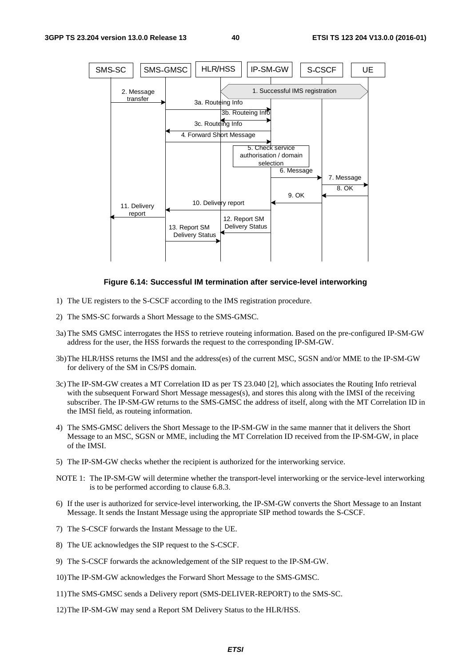

#### **Figure 6.14: Successful IM termination after service-level interworking**

- 1) The UE registers to the S-CSCF according to the IMS registration procedure.
- 2) The SMS-SC forwards a Short Message to the SMS-GMSC.
- 3a) The SMS GMSC interrogates the HSS to retrieve routeing information. Based on the pre-configured IP-SM-GW address for the user, the HSS forwards the request to the corresponding IP-SM-GW.
- 3b) The HLR/HSS returns the IMSI and the address(es) of the current MSC, SGSN and/or MME to the IP-SM-GW for delivery of the SM in CS/PS domain.
- 3c) The IP-SM-GW creates a MT Correlation ID as per TS 23.040 [2], which associates the Routing Info retrieval with the subsequent Forward Short Message messages(s), and stores this along with the IMSI of the receiving subscriber. The IP-SM-GW returns to the SMS-GMSC the address of itself, along with the MT Correlation ID in the IMSI field, as routeing information.
- 4) The SMS-GMSC delivers the Short Message to the IP-SM-GW in the same manner that it delivers the Short Message to an MSC, SGSN or MME, including the MT Correlation ID received from the IP-SM-GW, in place of the IMSI.
- 5) The IP-SM-GW checks whether the recipient is authorized for the interworking service.
- NOTE 1: The IP-SM-GW will determine whether the transport-level interworking or the service-level interworking is to be performed according to clause 6.8.3.
- 6) If the user is authorized for service-level interworking, the IP-SM-GW converts the Short Message to an Instant Message. It sends the Instant Message using the appropriate SIP method towards the S-CSCF.
- 7) The S-CSCF forwards the Instant Message to the UE.
- 8) The UE acknowledges the SIP request to the S-CSCF.
- 9) The S-CSCF forwards the acknowledgement of the SIP request to the IP-SM-GW.
- 10) The IP-SM-GW acknowledges the Forward Short Message to the SMS-GMSC.
- 11) The SMS-GMSC sends a Delivery report (SMS-DELIVER-REPORT) to the SMS-SC.
- 12) The IP-SM-GW may send a Report SM Delivery Status to the HLR/HSS.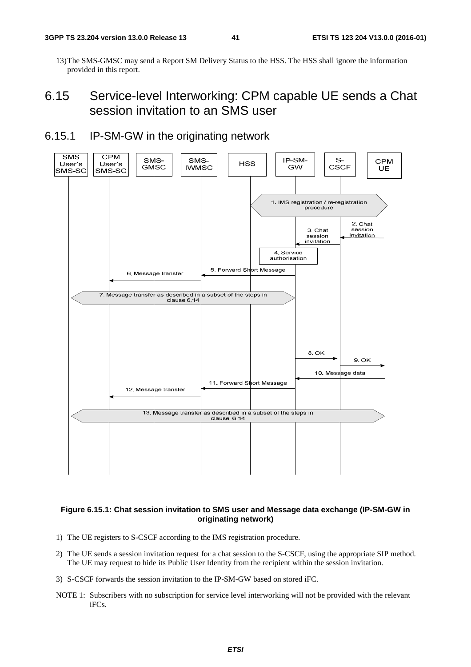13) The SMS-GMSC may send a Report SM Delivery Status to the HSS. The HSS shall ignore the information provided in this report.

## 6.15 Service-level Interworking: CPM capable UE sends a Chat session invitation to an SMS user

#### 6.15.1 IP-SM-GW in the originating network



#### **Figure 6.15.1: Chat session invitation to SMS user and Message data exchange (IP-SM-GW in originating network)**

- 1) The UE registers to S-CSCF according to the IMS registration procedure.
- 2) The UE sends a session invitation request for a chat session to the S-CSCF, using the appropriate SIP method. The UE may request to hide its Public User Identity from the recipient within the session invitation.
- 3) S-CSCF forwards the session invitation to the IP-SM-GW based on stored iFC.
- NOTE 1: Subscribers with no subscription for service level interworking will not be provided with the relevant iFCs.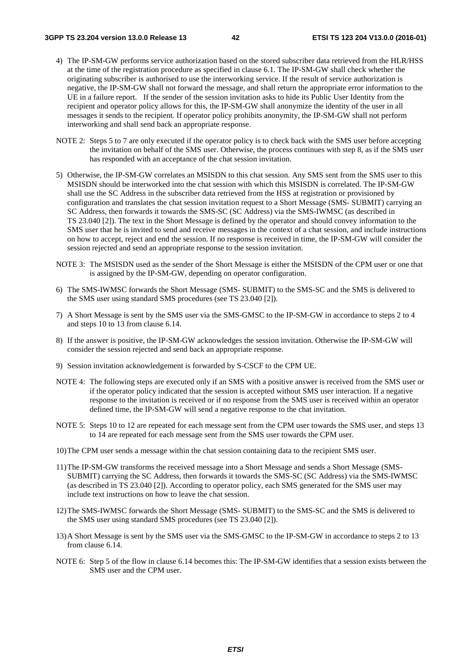- 4) The IP-SM-GW performs service authorization based on the stored subscriber data retrieved from the HLR/HSS at the time of the registration procedure as specified in clause 6.1. The IP-SM-GW shall check whether the originating subscriber is authorised to use the interworking service. If the result of service authorization is negative, the IP-SM-GW shall not forward the message, and shall return the appropriate error information to the UE in a failure report. If the sender of the session invitation asks to hide its Public User Identity from the recipient and operator policy allows for this, the IP-SM-GW shall anonymize the identity of the user in all messages it sends to the recipient. If operator policy prohibits anonymity, the IP-SM-GW shall not perform interworking and shall send back an appropriate response.
- NOTE 2: Steps 5 to 7 are only executed if the operator policy is to check back with the SMS user before accepting the invitation on behalf of the SMS user. Otherwise, the process continues with step 8, as if the SMS user has responded with an acceptance of the chat session invitation.
- 5) Otherwise, the IP-SM-GW correlates an MSISDN to this chat session. Any SMS sent from the SMS user to this MSISDN should be interworked into the chat session with which this MSISDN is correlated. The IP-SM-GW shall use the SC Address in the subscriber data retrieved from the HSS at registration or provisioned by configuration and translates the chat session invitation request to a Short Message (SMS- SUBMIT) carrying an SC Address, then forwards it towards the SMS-SC (SC Address) via the SMS-IWMSC (as described in TS 23.040 [2]). The text in the Short Message is defined by the operator and should convey information to the SMS user that he is invited to send and receive messages in the context of a chat session, and include instructions on how to accept, reject and end the session. If no response is received in time, the IP-SM-GW will consider the session rejected and send an appropriate response to the session invitation.
- NOTE 3: The MSISDN used as the sender of the Short Message is either the MSISDN of the CPM user or one that is assigned by the IP-SM-GW, depending on operator configuration.
- 6) The SMS-IWMSC forwards the Short Message (SMS- SUBMIT) to the SMS-SC and the SMS is delivered to the SMS user using standard SMS procedures (see TS 23.040 [2]).
- 7) A Short Message is sent by the SMS user via the SMS-GMSC to the IP-SM-GW in accordance to steps 2 to 4 and steps 10 to 13 from clause 6.14.
- 8) If the answer is positive, the IP-SM-GW acknowledges the session invitation. Otherwise the IP-SM-GW will consider the session rejected and send back an appropriate response.
- 9) Session invitation acknowledgement is forwarded by S-CSCF to the CPM UE.
- NOTE 4: The following steps are executed only if an SMS with a positive answer is received from the SMS user or if the operator policy indicated that the session is accepted without SMS user interaction. If a negative response to the invitation is received or if no response from the SMS user is received within an operator defined time, the IP-SM-GW will send a negative response to the chat invitation.
- NOTE 5: Steps 10 to 12 are repeated for each message sent from the CPM user towards the SMS user, and steps 13 to 14 are repeated for each message sent from the SMS user towards the CPM user.
- 10) The CPM user sends a message within the chat session containing data to the recipient SMS user.
- 11) The IP-SM-GW transforms the received message into a Short Message and sends a Short Message (SMS-SUBMIT) carrying the SC Address, then forwards it towards the SMS-SC (SC Address) via the SMS-IWMSC (as described in TS 23.040 [2]). According to operator policy, each SMS generated for the SMS user may include text instructions on how to leave the chat session.
- 12) The SMS-IWMSC forwards the Short Message (SMS- SUBMIT) to the SMS-SC and the SMS is delivered to the SMS user using standard SMS procedures (see TS 23.040 [2]).
- 13) A Short Message is sent by the SMS user via the SMS-GMSC to the IP-SM-GW in accordance to steps 2 to 13 from clause 6.14.
- NOTE 6: Step 5 of the flow in clause 6.14 becomes this: The IP-SM-GW identifies that a session exists between the SMS user and the CPM user.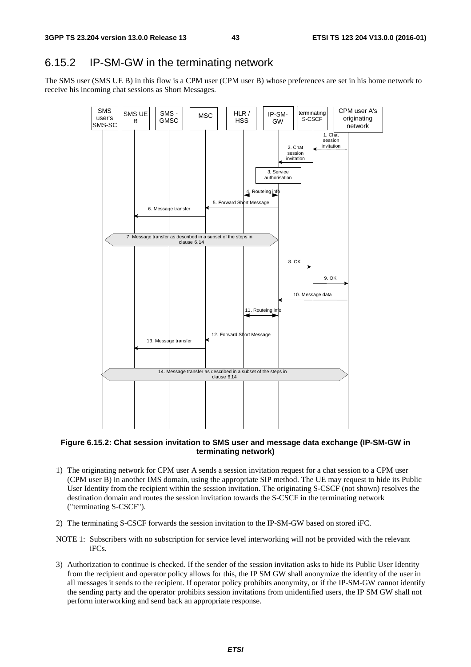#### 6.15.2 IP-SM-GW in the terminating network

The SMS user (SMS UE B) in this flow is a CPM user (CPM user B) whose preferences are set in his home network to receive his incoming chat sessions as Short Messages.



#### **Figure 6.15.2: Chat session invitation to SMS user and message data exchange (IP-SM-GW in terminating network)**

- 1) The originating network for CPM user A sends a session invitation request for a chat session to a CPM user (CPM user B) in another IMS domain, using the appropriate SIP method. The UE may request to hide its Public User Identity from the recipient within the session invitation. The originating S-CSCF (not shown) resolves the destination domain and routes the session invitation towards the S-CSCF in the terminating network ("terminating S-CSCF").
- 2) The terminating S-CSCF forwards the session invitation to the IP-SM-GW based on stored iFC.
- NOTE 1: Subscribers with no subscription for service level interworking will not be provided with the relevant iFCs.
- 3) Authorization to continue is checked. If the sender of the session invitation asks to hide its Public User Identity from the recipient and operator policy allows for this, the IP SM GW shall anonymize the identity of the user in all messages it sends to the recipient. If operator policy prohibits anonymity, or if the IP-SM-GW cannot identify the sending party and the operator prohibits session invitations from unidentified users, the IP SM GW shall not perform interworking and send back an appropriate response.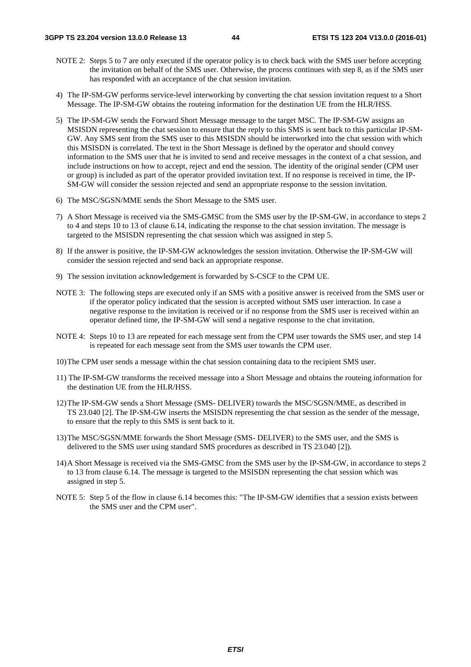- NOTE 2: Steps 5 to 7 are only executed if the operator policy is to check back with the SMS user before accepting the invitation on behalf of the SMS user. Otherwise, the process continues with step 8, as if the SMS user has responded with an acceptance of the chat session invitation.
- 4) The IP-SM-GW performs service-level interworking by converting the chat session invitation request to a Short Message. The IP-SM-GW obtains the routeing information for the destination UE from the HLR/HSS.
- 5) The IP-SM-GW sends the Forward Short Message message to the target MSC. The IP-SM-GW assigns an MSISDN representing the chat session to ensure that the reply to this SMS is sent back to this particular IP-SM-GW. Any SMS sent from the SMS user to this MSISDN should be interworked into the chat session with which this MSISDN is correlated. The text in the Short Message is defined by the operator and should convey information to the SMS user that he is invited to send and receive messages in the context of a chat session, and include instructions on how to accept, reject and end the session. The identity of the original sender (CPM user or group) is included as part of the operator provided invitation text. If no response is received in time, the IP-SM-GW will consider the session rejected and send an appropriate response to the session invitation.
- 6) The MSC/SGSN/MME sends the Short Message to the SMS user.
- 7) A Short Message is received via the SMS-GMSC from the SMS user by the IP-SM-GW, in accordance to steps 2 to 4 and steps 10 to 13 of clause 6.14, indicating the response to the chat session invitation. The message is targeted to the MSISDN representing the chat session which was assigned in step 5.
- 8) If the answer is positive, the IP-SM-GW acknowledges the session invitation. Otherwise the IP-SM-GW will consider the session rejected and send back an appropriate response.
- 9) The session invitation acknowledgement is forwarded by S-CSCF to the CPM UE.
- NOTE 3: The following steps are executed only if an SMS with a positive answer is received from the SMS user or if the operator policy indicated that the session is accepted without SMS user interaction. In case a negative response to the invitation is received or if no response from the SMS user is received within an operator defined time, the IP-SM-GW will send a negative response to the chat invitation.
- NOTE 4: Steps 10 to 13 are repeated for each message sent from the CPM user towards the SMS user, and step 14 is repeated for each message sent from the SMS user towards the CPM user.
- 10) The CPM user sends a message within the chat session containing data to the recipient SMS user.
- 11) The IP-SM-GW transforms the received message into a Short Message and obtains the routeing information for the destination UE from the HLR/HSS.
- 12) The IP-SM-GW sends a Short Message (SMS- DELIVER) towards the MSC/SGSN/MME, as described in TS 23.040 [2]. The IP-SM-GW inserts the MSISDN representing the chat session as the sender of the message, to ensure that the reply to this SMS is sent back to it.
- 13) The MSC/SGSN/MME forwards the Short Message (SMS- DELIVER) to the SMS user, and the SMS is delivered to the SMS user using standard SMS procedures as described in TS 23.040 [2]).
- 14) A Short Message is received via the SMS-GMSC from the SMS user by the IP-SM-GW, in accordance to steps 2 to 13 from clause 6.14. The message is targeted to the MSISDN representing the chat session which was assigned in step 5.
- NOTE 5: Step 5 of the flow in clause 6.14 becomes this: "The IP-SM-GW identifies that a session exists between the SMS user and the CPM user".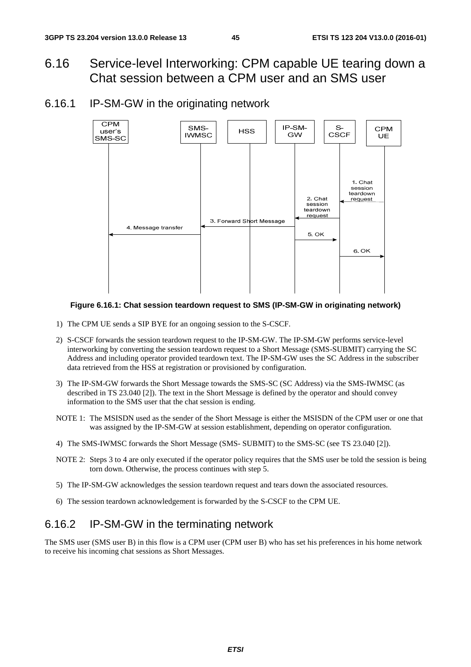- 6.16 Service-level Interworking: CPM capable UE tearing down a Chat session between a CPM user and an SMS user
- 6.16.1 IP-SM-GW in the originating network



#### **Figure 6.16.1: Chat session teardown request to SMS (IP-SM-GW in originating network)**

- 1) The CPM UE sends a SIP BYE for an ongoing session to the S-CSCF.
- 2) S-CSCF forwards the session teardown request to the IP-SM-GW. The IP-SM-GW performs service-level interworking by converting the session teardown request to a Short Message (SMS-SUBMIT) carrying the SC Address and including operator provided teardown text. The IP-SM-GW uses the SC Address in the subscriber data retrieved from the HSS at registration or provisioned by configuration.
- 3) The IP-SM-GW forwards the Short Message towards the SMS-SC (SC Address) via the SMS-IWMSC (as described in TS 23.040 [2]). The text in the Short Message is defined by the operator and should convey information to the SMS user that the chat session is ending.
- NOTE 1: The MSISDN used as the sender of the Short Message is either the MSISDN of the CPM user or one that was assigned by the IP-SM-GW at session establishment, depending on operator configuration.
- 4) The SMS-IWMSC forwards the Short Message (SMS- SUBMIT) to the SMS-SC (see TS 23.040 [2]).
- NOTE 2: Steps 3 to 4 are only executed if the operator policy requires that the SMS user be told the session is being torn down. Otherwise, the process continues with step 5.
- 5) The IP-SM-GW acknowledges the session teardown request and tears down the associated resources.
- 6) The session teardown acknowledgement is forwarded by the S-CSCF to the CPM UE.

### 6.16.2 IP-SM-GW in the terminating network

The SMS user (SMS user B) in this flow is a CPM user (CPM user B) who has set his preferences in his home network to receive his incoming chat sessions as Short Messages.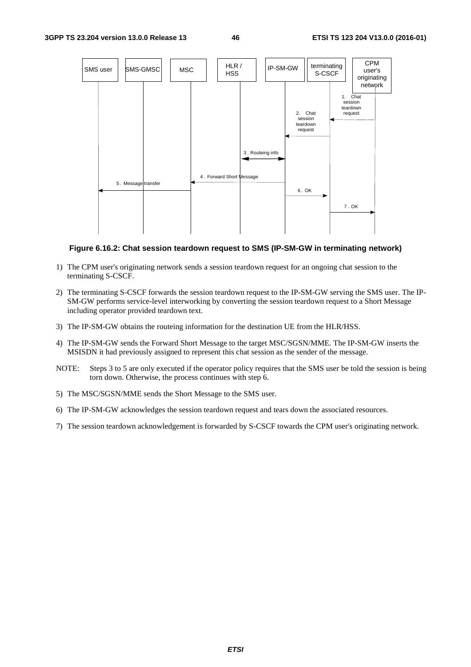

#### **Figure 6.16.2: Chat session teardown request to SMS (IP-SM-GW in terminating network)**

- 1) The CPM user's originating network sends a session teardown request for an ongoing chat session to the terminating S-CSCF.
- 2) The terminating S-CSCF forwards the session teardown request to the IP-SM-GW serving the SMS user. The IP-SM-GW performs service-level interworking by converting the session teardown request to a Short Message including operator provided teardown text.
- 3) The IP-SM-GW obtains the routeing information for the destination UE from the HLR/HSS.
- 4) The IP-SM-GW sends the Forward Short Message to the target MSC/SGSN/MME. The IP-SM-GW inserts the MSISDN it had previously assigned to represent this chat session as the sender of the message.
- NOTE: Steps 3 to 5 are only executed if the operator policy requires that the SMS user be told the session is being torn down. Otherwise, the process continues with step 6.
- 5) The MSC/SGSN/MME sends the Short Message to the SMS user.
- 6) The IP-SM-GW acknowledges the session teardown request and tears down the associated resources.
- 7) The session teardown acknowledgement is forwarded by S-CSCF towards the CPM user's originating network.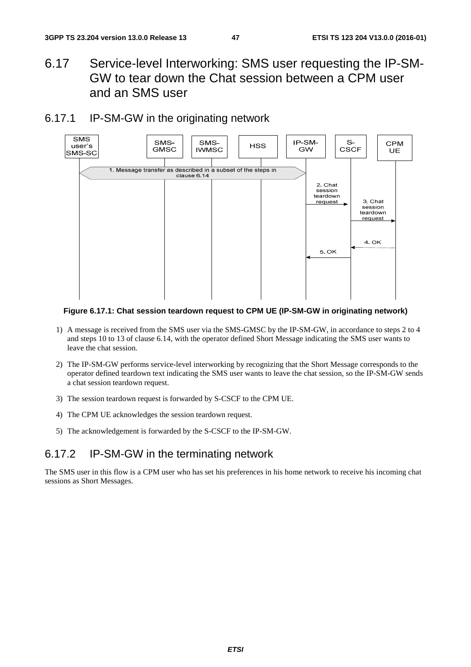- 6.17 Service-level Interworking: SMS user requesting the IP-SM-GW to tear down the Chat session between a CPM user and an SMS user
- 6.17.1 IP-SM-GW in the originating network



**Figure 6.17.1: Chat session teardown request to CPM UE (IP-SM-GW in originating network)** 

- 1) A message is received from the SMS user via the SMS-GMSC by the IP-SM-GW, in accordance to steps 2 to 4 and steps 10 to 13 of clause 6.14, with the operator defined Short Message indicating the SMS user wants to leave the chat session.
- 2) The IP-SM-GW performs service-level interworking by recognizing that the Short Message corresponds to the operator defined teardown text indicating the SMS user wants to leave the chat session, so the IP-SM-GW sends a chat session teardown request.
- 3) The session teardown request is forwarded by S-CSCF to the CPM UE.
- 4) The CPM UE acknowledges the session teardown request.
- 5) The acknowledgement is forwarded by the S-CSCF to the IP-SM-GW.

### 6.17.2 IP-SM-GW in the terminating network

The SMS user in this flow is a CPM user who has set his preferences in his home network to receive his incoming chat sessions as Short Messages.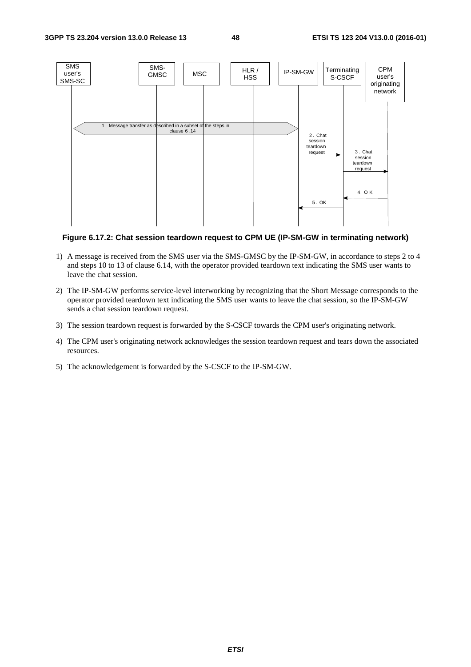

#### **Figure 6.17.2: Chat session teardown request to CPM UE (IP-SM-GW in terminating network)**

- 1) A message is received from the SMS user via the SMS-GMSC by the IP-SM-GW, in accordance to steps 2 to 4 and steps 10 to 13 of clause 6.14, with the operator provided teardown text indicating the SMS user wants to leave the chat session.
- 2) The IP-SM-GW performs service-level interworking by recognizing that the Short Message corresponds to the operator provided teardown text indicating the SMS user wants to leave the chat session, so the IP-SM-GW sends a chat session teardown request.
- 3) The session teardown request is forwarded by the S-CSCF towards the CPM user's originating network.
- 4) The CPM user's originating network acknowledges the session teardown request and tears down the associated resources.
- 5) The acknowledgement is forwarded by the S-CSCF to the IP-SM-GW.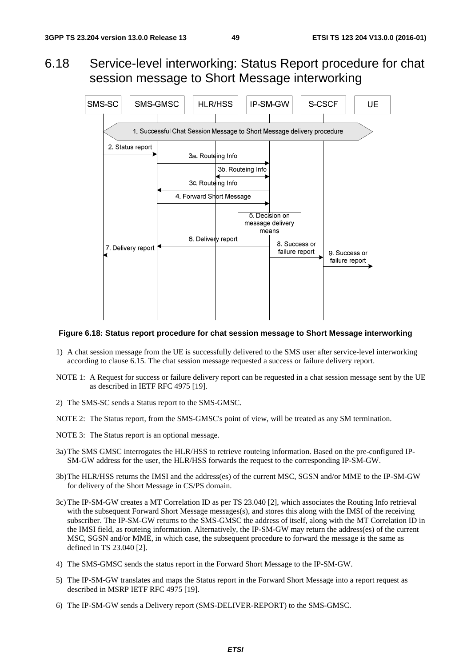### 6.18 Service-level interworking: Status Report procedure for chat session message to Short Message interworking



#### **Figure 6.18: Status report procedure for chat session message to Short Message interworking**

- 1) A chat session message from the UE is successfully delivered to the SMS user after service-level interworking according to clause 6.15. The chat session message requested a success or failure delivery report.
- NOTE 1: A Request for success or failure delivery report can be requested in a chat session message sent by the UE as described in IETF RFC 4975 [19].
- 2) The SMS-SC sends a Status report to the SMS-GMSC.
- NOTE 2: The Status report, from the SMS-GMSC's point of view, will be treated as any SM termination.
- NOTE 3: The Status report is an optional message.
- 3a) The SMS GMSC interrogates the HLR/HSS to retrieve routeing information. Based on the pre-configured IP-SM-GW address for the user, the HLR/HSS forwards the request to the corresponding IP-SM-GW.
- 3b) The HLR/HSS returns the IMSI and the address(es) of the current MSC, SGSN and/or MME to the IP-SM-GW for delivery of the Short Message in CS/PS domain.
- 3c) The IP-SM-GW creates a MT Correlation ID as per TS 23.040 [2], which associates the Routing Info retrieval with the subsequent Forward Short Message messages(s), and stores this along with the IMSI of the receiving subscriber. The IP-SM-GW returns to the SMS-GMSC the address of itself, along with the MT Correlation ID in the IMSI field, as routeing information. Alternatively, the IP-SM-GW may return the address(es) of the current MSC, SGSN and/or MME, in which case, the subsequent procedure to forward the message is the same as defined in TS 23.040 [2].
- 4) The SMS-GMSC sends the status report in the Forward Short Message to the IP-SM-GW.
- 5) The IP-SM-GW translates and maps the Status report in the Forward Short Message into a report request as described in MSRP IETF RFC 4975 [19].
- 6) The IP-SM-GW sends a Delivery report (SMS-DELIVER-REPORT) to the SMS-GMSC.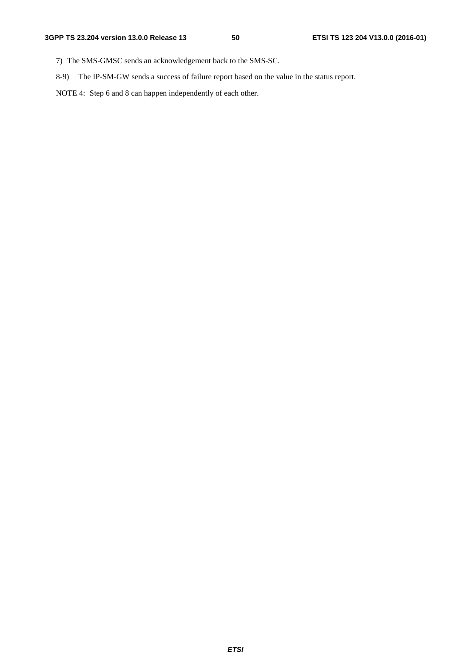- 7) The SMS-GMSC sends an acknowledgement back to the SMS-SC.
- 8-9) The IP-SM-GW sends a success of failure report based on the value in the status report.
- NOTE 4: Step 6 and 8 can happen independently of each other.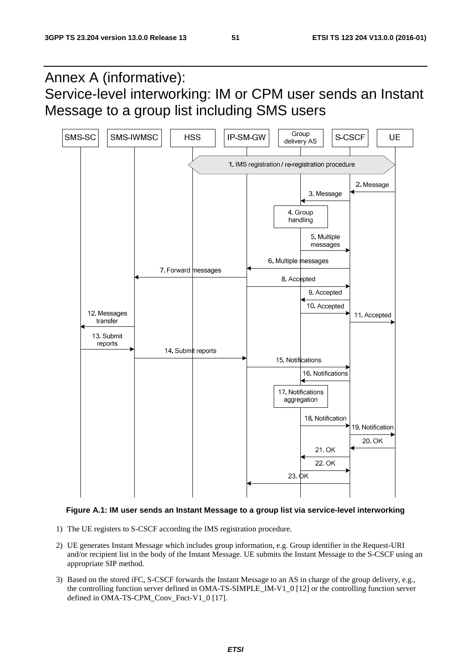Annex A (informative): Service-level interworking: IM or CPM user sends an Instant Message to a group list including SMS users



#### **Figure A.1: IM user sends an Instant Message to a group list via service-level interworking**

- 1) The UE registers to S-CSCF according the IMS registration procedure.
- 2) UE generates Instant Message which includes group information, e.g. Group identifier in the Request-URI and/or recipient list in the body of the Instant Message. UE submits the Instant Message to the S-CSCF using an appropriate SIP method.
- 3) Based on the stored iFC, S-CSCF forwards the Instant Message to an AS in charge of the group delivery, e.g., the controlling function server defined in OMA-TS-SIMPLE\_IM-V1\_0 [12] or the controlling function server defined in OMA-TS-CPM\_Conv\_Fnct-V1\_0 [17].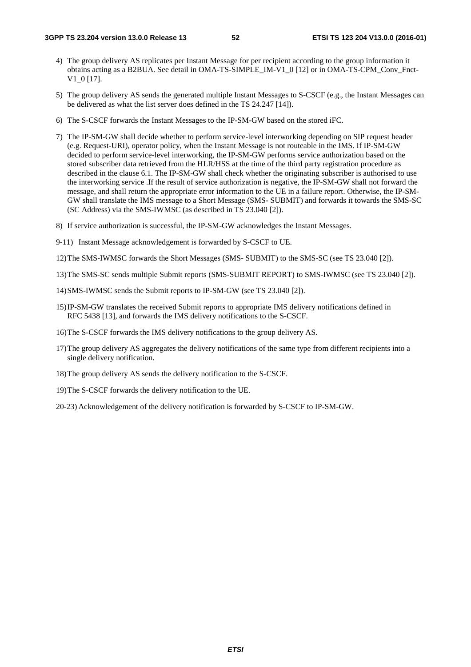- 4) The group delivery AS replicates per Instant Message for per recipient according to the group information it obtains acting as a B2BUA. See detail in OMA-TS-SIMPLE\_IM-V1\_0 [12] or in OMA-TS-CPM\_Conv\_Fnct-V1\_0 [17].
- 5) The group delivery AS sends the generated multiple Instant Messages to S-CSCF (e.g., the Instant Messages can be delivered as what the list server does defined in the TS 24.247 [14]).
- 6) The S-CSCF forwards the Instant Messages to the IP-SM-GW based on the stored iFC.
- 7) The IP-SM-GW shall decide whether to perform service-level interworking depending on SIP request header (e.g. Request-URI), operator policy, when the Instant Message is not routeable in the IMS. If IP-SM-GW decided to perform service-level interworking, the IP-SM-GW performs service authorization based on the stored subscriber data retrieved from the HLR/HSS at the time of the third party registration procedure as described in the clause 6.1. The IP-SM-GW shall check whether the originating subscriber is authorised to use the interworking service .If the result of service authorization is negative, the IP-SM-GW shall not forward the message, and shall return the appropriate error information to the UE in a failure report. Otherwise, the IP-SM-GW shall translate the IMS message to a Short Message (SMS- SUBMIT) and forwards it towards the SMS-SC (SC Address) via the SMS-IWMSC (as described in TS 23.040 [2]).
- 8) If service authorization is successful, the IP-SM-GW acknowledges the Instant Messages.
- 9-11) Instant Message acknowledgement is forwarded by S-CSCF to UE.
- 12) The SMS-IWMSC forwards the Short Messages (SMS- SUBMIT) to the SMS-SC (see TS 23.040 [2]).
- 13) The SMS-SC sends multiple Submit reports (SMS-SUBMIT REPORT) to SMS-IWMSC (see TS 23.040 [2]).
- 14) SMS-IWMSC sends the Submit reports to IP-SM-GW (see TS 23.040 [2]).
- 15) IP-SM-GW translates the received Submit reports to appropriate IMS delivery notifications defined in RFC 5438 [13], and forwards the IMS delivery notifications to the S-CSCF.
- 16) The S-CSCF forwards the IMS delivery notifications to the group delivery AS.
- 17) The group delivery AS aggregates the delivery notifications of the same type from different recipients into a single delivery notification.
- 18) The group delivery AS sends the delivery notification to the S-CSCF.
- 19) The S-CSCF forwards the delivery notification to the UE.

20-23) Acknowledgement of the delivery notification is forwarded by S-CSCF to IP-SM-GW.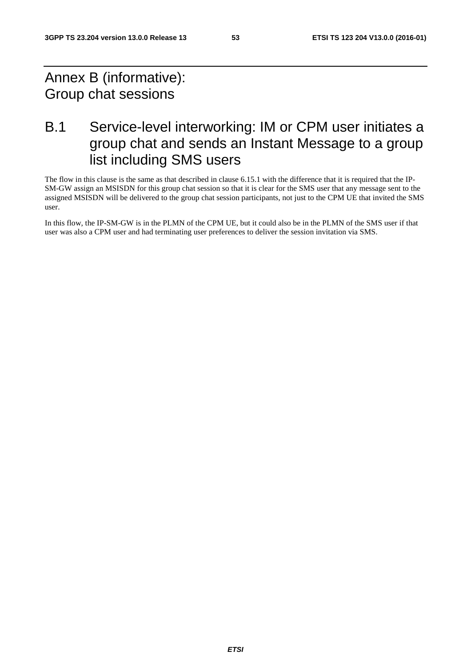## Annex B (informative): Group chat sessions

## B.1 Service-level interworking: IM or CPM user initiates a group chat and sends an Instant Message to a group list including SMS users

The flow in this clause is the same as that described in clause 6.15.1 with the difference that it is required that the IP-SM-GW assign an MSISDN for this group chat session so that it is clear for the SMS user that any message sent to the assigned MSISDN will be delivered to the group chat session participants, not just to the CPM UE that invited the SMS user.

In this flow, the IP-SM-GW is in the PLMN of the CPM UE, but it could also be in the PLMN of the SMS user if that user was also a CPM user and had terminating user preferences to deliver the session invitation via SMS.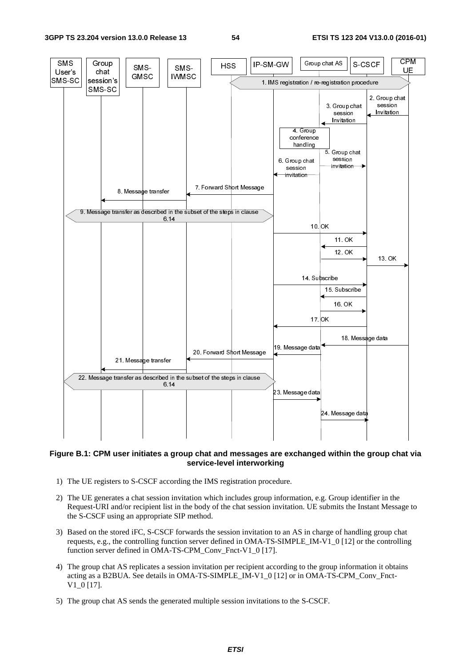

#### **Figure B.1: CPM user initiates a group chat and messages are exchanged within the group chat via service-level interworking**

- 1) The UE registers to S-CSCF according the IMS registration procedure.
- 2) The UE generates a chat session invitation which includes group information, e.g. Group identifier in the Request-URI and/or recipient list in the body of the chat session invitation. UE submits the Instant Message to the S-CSCF using an appropriate SIP method.
- 3) Based on the stored iFC, S-CSCF forwards the session invitation to an AS in charge of handling group chat requests, e.g., the controlling function server defined in OMA-TS-SIMPLE\_IM-V1\_0 [12] or the controlling function server defined in OMA-TS-CPM\_Conv\_Fnct-V1\_0 [17].
- 4) The group chat AS replicates a session invitation per recipient according to the group information it obtains acting as a B2BUA. See details in OMA-TS-SIMPLE\_IM-V1\_0 [12] or in OMA-TS-CPM\_Conv\_Fnct-V1\_0 [17].
- 5) The group chat AS sends the generated multiple session invitations to the S-CSCF.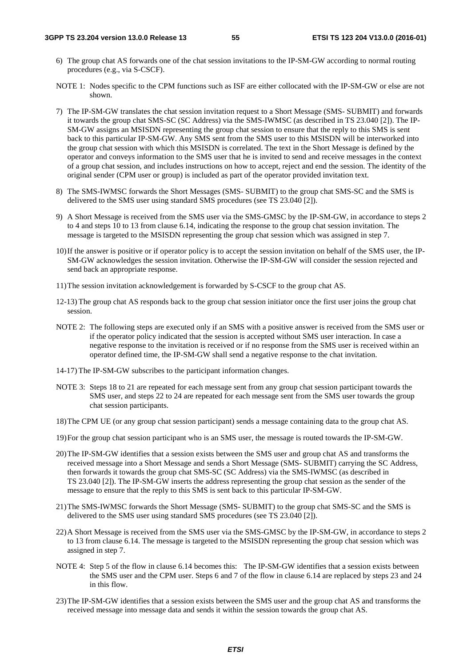- 6) The group chat AS forwards one of the chat session invitations to the IP-SM-GW according to normal routing procedures (e.g., via S-CSCF).
- NOTE 1: Nodes specific to the CPM functions such as ISF are either collocated with the IP-SM-GW or else are not shown.
- 7) The IP-SM-GW translates the chat session invitation request to a Short Message (SMS- SUBMIT) and forwards it towards the group chat SMS-SC (SC Address) via the SMS-IWMSC (as described in TS 23.040 [2]). The IP-SM-GW assigns an MSISDN representing the group chat session to ensure that the reply to this SMS is sent back to this particular IP-SM-GW. Any SMS sent from the SMS user to this MSISDN will be interworked into the group chat session with which this MSISDN is correlated. The text in the Short Message is defined by the operator and conveys information to the SMS user that he is invited to send and receive messages in the context of a group chat session, and includes instructions on how to accept, reject and end the session. The identity of the original sender (CPM user or group) is included as part of the operator provided invitation text.
- 8) The SMS-IWMSC forwards the Short Messages (SMS- SUBMIT) to the group chat SMS-SC and the SMS is delivered to the SMS user using standard SMS procedures (see TS 23.040 [2]).
- 9) A Short Message is received from the SMS user via the SMS-GMSC by the IP-SM-GW, in accordance to steps 2 to 4 and steps 10 to 13 from clause 6.14, indicating the response to the group chat session invitation. The message is targeted to the MSISDN representing the group chat session which was assigned in step 7.
- 10) If the answer is positive or if operator policy is to accept the session invitation on behalf of the SMS user, the IP-SM-GW acknowledges the session invitation. Otherwise the IP-SM-GW will consider the session rejected and send back an appropriate response.
- 11) The session invitation acknowledgement is forwarded by S-CSCF to the group chat AS.
- 12-13) The group chat AS responds back to the group chat session initiator once the first user joins the group chat session.
- NOTE 2: The following steps are executed only if an SMS with a positive answer is received from the SMS user or if the operator policy indicated that the session is accepted without SMS user interaction. In case a negative response to the invitation is received or if no response from the SMS user is received within an operator defined time, the IP-SM-GW shall send a negative response to the chat invitation.
- 14-17) The IP-SM-GW subscribes to the participant information changes.
- NOTE 3: Steps 18 to 21 are repeated for each message sent from any group chat session participant towards the SMS user, and steps 22 to 24 are repeated for each message sent from the SMS user towards the group chat session participants.
- 18) The CPM UE (or any group chat session participant) sends a message containing data to the group chat AS.
- 19) For the group chat session participant who is an SMS user, the message is routed towards the IP-SM-GW.
- 20) The IP-SM-GW identifies that a session exists between the SMS user and group chat AS and transforms the received message into a Short Message and sends a Short Message (SMS- SUBMIT) carrying the SC Address, then forwards it towards the group chat SMS-SC (SC Address) via the SMS-IWMSC (as described in TS 23.040 [2]). The IP-SM-GW inserts the address representing the group chat session as the sender of the message to ensure that the reply to this SMS is sent back to this particular IP-SM-GW.
- 21) The SMS-IWMSC forwards the Short Message (SMS- SUBMIT) to the group chat SMS-SC and the SMS is delivered to the SMS user using standard SMS procedures (see TS 23.040 [2]).
- 22) A Short Message is received from the SMS user via the SMS-GMSC by the IP-SM-GW, in accordance to steps 2 to 13 from clause 6.14. The message is targeted to the MSISDN representing the group chat session which was assigned in step 7.
- NOTE 4: Step 5 of the flow in clause 6.14 becomes this: The IP-SM-GW identifies that a session exists between the SMS user and the CPM user. Steps 6 and 7 of the flow in clause 6.14 are replaced by steps 23 and 24 in this flow.
- 23) The IP-SM-GW identifies that a session exists between the SMS user and the group chat AS and transforms the received message into message data and sends it within the session towards the group chat AS.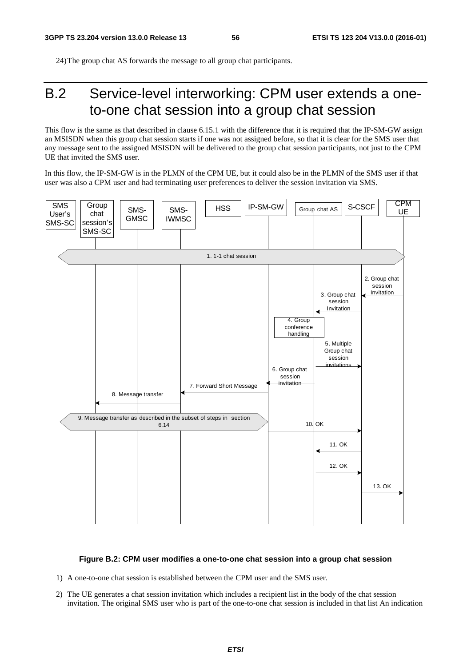24) The group chat AS forwards the message to all group chat participants.

## B.2 Service-level interworking: CPM user extends a oneto-one chat session into a group chat session

This flow is the same as that described in clause 6.15.1 with the difference that it is required that the IP-SM-GW assign an MSISDN when this group chat session starts if one was not assigned before, so that it is clear for the SMS user that any message sent to the assigned MSISDN will be delivered to the group chat session participants, not just to the CPM UE that invited the SMS user.

In this flow, the IP-SM-GW is in the PLMN of the CPM UE, but it could also be in the PLMN of the SMS user if that user was also a CPM user and had terminating user preferences to deliver the session invitation via SMS.



#### **Figure B.2: CPM user modifies a one-to-one chat session into a group chat session**

- 1) A one-to-one chat session is established between the CPM user and the SMS user.
- 2) The UE generates a chat session invitation which includes a recipient list in the body of the chat session invitation. The original SMS user who is part of the one-to-one chat session is included in that list An indication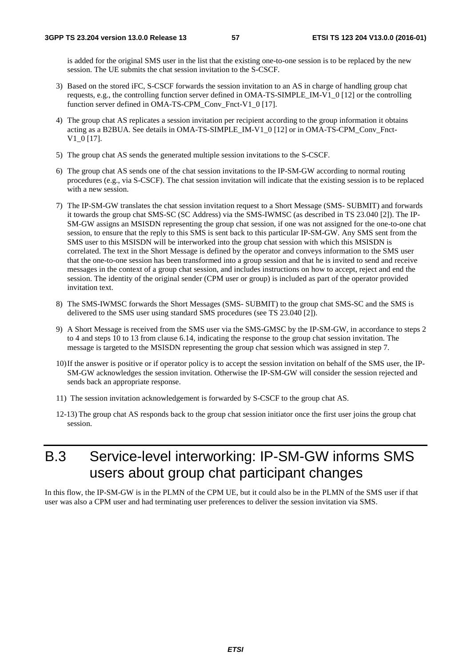is added for the original SMS user in the list that the existing one-to-one session is to be replaced by the new session. The UE submits the chat session invitation to the S-CSCF.

- 3) Based on the stored iFC, S-CSCF forwards the session invitation to an AS in charge of handling group chat requests, e.g., the controlling function server defined in OMA-TS-SIMPLE\_IM-V1\_0 [12] or the controlling function server defined in OMA-TS-CPM\_Conv\_Fnct-V1\_0 [17].
- 4) The group chat AS replicates a session invitation per recipient according to the group information it obtains acting as a B2BUA. See details in OMA-TS-SIMPLE\_IM-V1\_0 [12] or in OMA-TS-CPM\_Conv\_Fnct-V1 0 [17].
- 5) The group chat AS sends the generated multiple session invitations to the S-CSCF.
- 6) The group chat AS sends one of the chat session invitations to the IP-SM-GW according to normal routing procedures (e.g., via S-CSCF). The chat session invitation will indicate that the existing session is to be replaced with a new session.
- 7) The IP-SM-GW translates the chat session invitation request to a Short Message (SMS- SUBMIT) and forwards it towards the group chat SMS-SC (SC Address) via the SMS-IWMSC (as described in TS 23.040 [2]). The IP-SM-GW assigns an MSISDN representing the group chat session, if one was not assigned for the one-to-one chat session, to ensure that the reply to this SMS is sent back to this particular IP-SM-GW. Any SMS sent from the SMS user to this MSISDN will be interworked into the group chat session with which this MSISDN is correlated. The text in the Short Message is defined by the operator and conveys information to the SMS user that the one-to-one session has been transformed into a group session and that he is invited to send and receive messages in the context of a group chat session, and includes instructions on how to accept, reject and end the session. The identity of the original sender (CPM user or group) is included as part of the operator provided invitation text.
- 8) The SMS-IWMSC forwards the Short Messages (SMS- SUBMIT) to the group chat SMS-SC and the SMS is delivered to the SMS user using standard SMS procedures (see TS 23.040 [2]).
- 9) A Short Message is received from the SMS user via the SMS-GMSC by the IP-SM-GW, in accordance to steps 2 to 4 and steps 10 to 13 from clause 6.14, indicating the response to the group chat session invitation. The message is targeted to the MSISDN representing the group chat session which was assigned in step 7.
- 10) If the answer is positive or if operator policy is to accept the session invitation on behalf of the SMS user, the IP-SM-GW acknowledges the session invitation. Otherwise the IP-SM-GW will consider the session rejected and sends back an appropriate response.
- 11) The session invitation acknowledgement is forwarded by S-CSCF to the group chat AS.
- 12-13) The group chat AS responds back to the group chat session initiator once the first user joins the group chat session.

## B.3 Service-level interworking: IP-SM-GW informs SMS users about group chat participant changes

In this flow, the IP-SM-GW is in the PLMN of the CPM UE, but it could also be in the PLMN of the SMS user if that user was also a CPM user and had terminating user preferences to deliver the session invitation via SMS.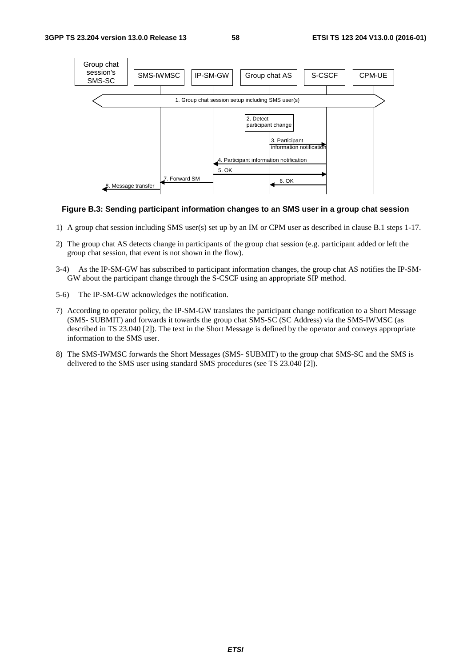

#### **Figure B.3: Sending participant information changes to an SMS user in a group chat session**

- 1) A group chat session including SMS user(s) set up by an IM or CPM user as described in clause B.1 steps 1-17.
- 2) The group chat AS detects change in participants of the group chat session (e.g. participant added or left the group chat session, that event is not shown in the flow).
- 3-4) As the IP-SM-GW has subscribed to participant information changes, the group chat AS notifies the IP-SM-GW about the participant change through the S-CSCF using an appropriate SIP method.
- 5-6) The IP-SM-GW acknowledges the notification.
- 7) According to operator policy, the IP-SM-GW translates the participant change notification to a Short Message (SMS- SUBMIT) and forwards it towards the group chat SMS-SC (SC Address) via the SMS-IWMSC (as described in TS 23.040 [2]). The text in the Short Message is defined by the operator and conveys appropriate information to the SMS user.
- 8) The SMS-IWMSC forwards the Short Messages (SMS- SUBMIT) to the group chat SMS-SC and the SMS is delivered to the SMS user using standard SMS procedures (see TS 23.040 [2]).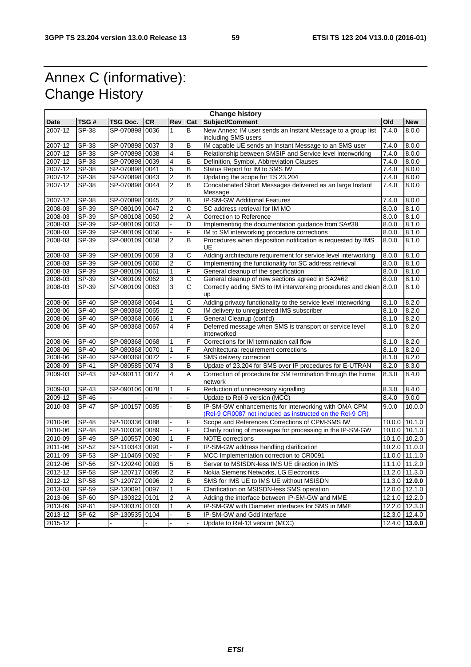## Annex C (informative): Change History

| <b>Change history</b> |              |                |           |                |     |                                                                                 |        |                   |
|-----------------------|--------------|----------------|-----------|----------------|-----|---------------------------------------------------------------------------------|--------|-------------------|
| Date                  | TSG#         | TSG Doc.       | <b>CR</b> | Rev            | Cat | Subject/Comment                                                                 | Old    | <b>New</b>        |
| 2007-12               | SP-38        | SP-070898      | 0036      | 1              | B   | New Annex: IM user sends an Instant Message to a group list                     | 7.4.0  | 8.0.0             |
|                       |              |                |           |                |     | including SMS users                                                             |        |                   |
| 2007-12               | SP-38        | SP-070898 0037 |           | 3              | В   | IM capable UE sends an Instant Message to an SMS user                           | 7.4.0  | 8.0.0             |
| 2007-12               | SP-38        | SP-070898 0038 |           | 4              | B   | Relationship between SMSIP and Service level interworking                       | 7.4.0  | 8.0.0             |
| 2007-12               | SP-38        | SP-070898 0039 |           | 4              | В   | Definition, Symbol, Abbreviation Clauses                                        | 7.4.0  | 8.0.0             |
| 2007-12               | SP-38        | SP-070898 0041 |           | 5              | В   | Status Report for IM to SMS IW                                                  | 7.4.0  | 8.0.0             |
| 2007-12               | SP-38        | SP-070898 0043 |           | $\overline{2}$ | B   | Updating the scope for TS 23.204                                                | 7.4.0  | 8.0.0             |
| 2007-12               | SP-38        | SP-070898 0044 |           | $\overline{2}$ | В   | Concatenated Short Messages delivered as an large Instant<br>Message            | 7.4.0  | 8.0.0             |
| 2007-12               | SP-38        | SP-070898 0045 |           | 2              | B   | IP-SM-GW Additional Features                                                    | 7.4.0  | 8.0.0             |
| 2008-03               | SP-39        | SP-080109 0047 |           | $\overline{2}$ | C   | SC address retrieval for IM MO                                                  | 8.0.0  | 8.1.0             |
| 2008-03               | SP-39        | SP-080108 0050 |           | 2              | Α   | <b>Correction to Reference</b>                                                  | 8.0.0  | 8.1.0             |
| 2008-03               | SP-39        | SP-080109 0053 |           |                | D   | Implementing the documentation guidance from SA#38                              | 8.0.0  | 8.1.0             |
| 2008-03               | $SP-39$      | SP-080109      | 0056      |                | F   | IM to SM interworking procedure corrections                                     | 8.0.0  | 8.1.0             |
| 2008-03               | SP-39        | SP-080109 0058 |           | 2              | B   | Procedures when disposition notification is requested by IMS<br>UE              | 8.0.0  | 8.1.0             |
| 2008-03               | SP-39        | SP-080109      | 0059      | 3              | С   | Adding architecture requirement for service level interworking                  | 8.0.0  | 8.1.0             |
| 2008-03               | SP-39        | SP-080109 0060 |           | $\overline{2}$ | С   | Implementing the functionality for SC address retrieval                         | 8.0.0  | 8.1.0             |
| 2008-03               | SP-39        | SP-080109 0061 |           | $\mathbf{1}$   | F   | General cleanup of the specification                                            | 8.0.0  | 8.1.0             |
| $2008 - 03$           | SP-39        | SP-080109      | 0062      | 3              | С   | General cleanup of new sections agreed in SA2#62                                | 8.0.0  | 8.1.0             |
| 2008-03               | SP-39        | SP-080109 0063 |           | 3              | С   | Correctly adding SMS to IM interworking procedures and clean 8.0.0<br><b>up</b> |        | 8.1.0             |
| 2008-06               | SP-40        | SP-080368      | 0064      |                | С   | Adding privacy functionality to the service level interworking                  | 8.1.0  | 8.2.0             |
| 2008-06               | <b>SP-40</b> | SP-080368 0065 |           | $\overline{2}$ | С   | IM delivery to unregistered IMS subscriber                                      | 8.1.0  | 8.2.0             |
| 2008-06               | <b>SP-40</b> | SP-080368 0066 |           | 1              | F   | General Cleanup (cont'd)                                                        | 8.1.0  | 8.2.0             |
| 2008-06               | SP-40        | SP-080368 0067 |           | 4              | F   | Deferred message when SMS is transport or service level<br>interworked          | 8.1.0  | 8.2.0             |
| 2008-06               | SP-40        | SP-080368 0068 |           | 1              | F   | Corrections for IM termination call flow                                        | 8.1.0  | 8.2.0             |
| 2008-06               | SP-40        | SP-080368 0070 |           | $\mathbf{1}$   | F   | Architectural requirement corrections                                           | 8.1.0  | 8.2.0             |
| 2008-06               | SP-40        | SP-080368 0072 |           |                | F   | SMS delivery correction                                                         | 8.1.0  | 8.2.0             |
| 2008-09               | SP-41        | SP-080585 0074 |           | 3              | B   | Update of 23.204 for SMS over IP procedures for E-UTRAN                         | 8.2.0  | 8.3.0             |
| 2009-03               | SP-43        | SP-090111 0077 |           | $\overline{4}$ | A   | Correction of procedure for SM termination through the home<br>network          | 8.3.0  | 8.4.0             |
| 2009-03               | SP-43        | SP-090106 0078 |           | 1              | F   | Reduction of unnecessary signalling                                             | 8.3.0  | 8.4.0             |
| 2009-12               | SP-46        |                |           |                |     | Update to Rel-9 version (MCC)                                                   | 8.4.0  | 9.0.0             |
| 2010-03               | <b>SP-47</b> | SP-100157 0085 |           | $\blacksquare$ | B   | IP-SM-GW enhancements for interworking with OMA CPM                             | 9.0.0  | 10.0.0            |
|                       |              |                |           |                |     | (Rel-9 CR0087 not included as instructed on the Rel-9 CR)                       |        |                   |
| 2010-06               | SP-48        | SP-100336 0088 |           |                | F   | Scope and References Corrections of CPM-SMS IW                                  | 10.0.0 | 10.1.0            |
| 2010-06               | SP-48        | SP-100336 0089 |           |                | F   | Clarify routing of messages for processing in the IP-SM-GW                      |        | 10.0.0 10.1.0     |
| 2010-09               | <b>SP-49</b> | SP-100557 0090 |           | 1              | F   | NOTE corrections                                                                |        | 10.1.0 10.2.0     |
| 2011-06               | SP-52        | SP-110343 0091 |           |                | F   | IP-SM-GW address handling clarification                                         |        | 10.2.0 11.0.0     |
| 2011-09               | SP-53        | SP-110469 0092 |           |                | F   | MCC Implementation correction to CR0091                                         |        | 11.0.0 11.1.0     |
| 2012-06               | <b>SP-56</b> | SP-120240 0093 |           | 5              | B   | Server to MSISDN-less IMS UE direction in IMS                                   |        | 11.1.0 11.2.0     |
| 2012-12               | <b>SP-58</b> | SP-120717 0095 |           | $\overline{2}$ | F   | Nokia Siemens Networks, LG Electronics                                          |        | 11.2.0 11.3.0     |
| 2012-12               | SP-58        | SP-120727 0096 |           | 2              | B   | SMS for IMS UE to IMS UE without MSISDN                                         |        | $11.3.0$   12.0.0 |
| 2013-03               | SP-59        |                |           | 1              | F   | Clarification on MSISDN-less SMS operation                                      |        | 12.0.0 12.1.0     |
|                       |              | SP-130091 0097 |           |                |     |                                                                                 |        |                   |
| 2013-06               | SP-60        | SP-130322 0101 |           | 2              | Α   | Adding the interface between IP-SM-GW and MME                                   |        | 12.1.0 12.2.0     |
| 2013-09               | SP-61        | SP-130370 0103 |           | 1              | Α   | IP-SM-GW with Diameter interfaces for SMS in MME                                |        | 12.2.0 12.3.0     |
| 2013-12               | SP-62        | SP-130535 0104 |           |                | B   | IP-SM-GW and Gdd interface                                                      |        | 12.3.0 12.4.0     |
| 2015-12               |              |                |           |                |     | Update to Rel-13 version (MCC)                                                  | 12.4.0 | 13.0.0            |